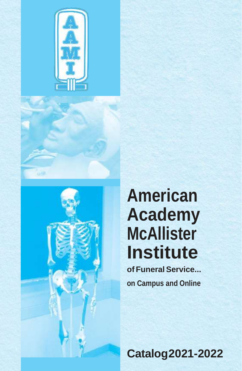





# **American Academy McAllister Institute**

**of Funeral Service... on Campus and Online**

**Catalog2021-2022**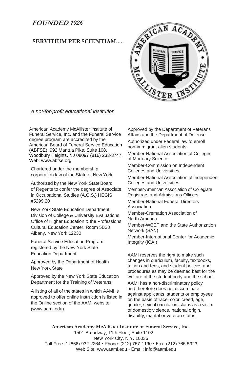### **FOUNDED 1926**

### **SERVITIUM PER SCIENTIAM.....**



*A not-for-profit educational institution*

American Academy McAllister Institute of Funeral Service, Inc. and the Funeral Service degree program are accredited by the American Board of Funeral Service Education (ABFSE), 992 Mantua Pike, Suite 108, Woodbury Heights, NJ 08097 (816) 233-3747. Web: [www.abfse.org](http://www.abfse.org/)

Chartered under the membership corporation law of the State of New York

Authorized by the New York State Board of Regents to confer the degree of Associate in Occupational Studies (A.O.S.) HEGIS #5299.20

New York State Education Department Division of College & University Evaluations Office of Higher Education & the Professions Cultural Education Center. Room 5B28 Albany, New York 12230

Funeral Service Education Program registered by the New York State Education Department

Approved by the Department of Health New York State

Approved by the New York State Education Department for the Training of Veterans

A listing of all of the states in which AAMI is approved to offer online instruction is listed in the Online section of the AAMI website (www.aami.edu).

Approved by the Department of Veterans Affairs and the Department of Defense Authorized under Federal law to enroll non-immigrant alien students Member-National Association of Colleges of Mortuary Science Member-Commission on Independent Colleges and Universities Member-National Association of Independent Colleges and Universities Member-American Association of Collegiate Registrars and Admissions Officers Member-National Funeral Directors Association Member-Cremation Association of North America Member-WCET and the State Authorization Network (SAN) Member-International Center for Academic Integrity (ICAI)

AAMI reserves the right to make such changes in curriculum, faculty, textbooks, tuition and fees, and student policies and procedures as may be deemed best for the welfare of the student body and the school.

AAMI has a non-discriminatory policy and therefore does not discriminate against applicants, students or employees on the basis of race, color, creed, age, gender, sexual orientation, status as a victim of domestic violence, national origin, disability, marital or veteran status.

**American Academy McAllister Institute of Funeral Service, Inc.** 1501 Broadway, 11th Floor, Suite 1102 New York City, N.Y. 10036 Toll-Free: 1 (866) 932-2264 • Phone: (212) 757-1190 • Fax: (212) 765-5923 Web Site[: www.aami.edu •](http://www.aami.edu/) Email: [info@aami.edu](mailto:info@aami.edu)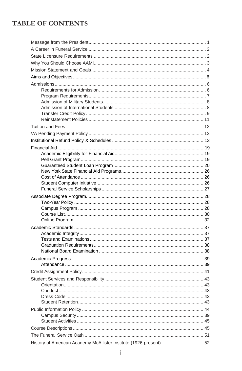### **TABLE OF CONTENTS**

| History of American Academy McAllister Institute (1926-present)  52 |  |
|---------------------------------------------------------------------|--|
|                                                                     |  |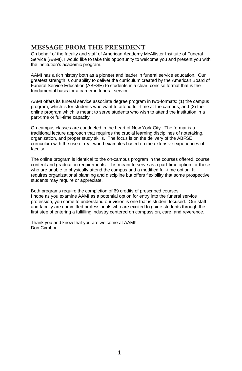### <span id="page-4-0"></span>**MESSAGE FROM THE PRESIDENT**

<span id="page-4-1"></span>On behalf of the faculty and staff of American Academy McAllister Institute of Funeral Service (AAMI), I would like to take this opportunity to welcome you and present you with the institution's academic program.

AAMI has a rich history both as a pioneer and leader in funeral service education. Our greatest strength is our ability to deliver the curriculum created by the American Board of Funeral Service Education (ABFSE) to students in a clear, concise format that is the fundamental basis for a career in funeral service.

AAMI offers its funeral service associate degree program in two-formats: (1) the campus program, which is for students who want to attend full-time at the campus, and (2) the online program which is meant to serve students who wish to attend the institution in a part-time or full-time capacity.

On-campus classes are conducted in the heart of New York City. The format is a traditional lecture approach that requires the crucial learning disciplines of notetaking, organization, and proper study skills. The focus is on the delivery of the ABFSE curriculum with the use of real-world examples based on the extensive experiences of faculty.

The online program is identical to the on-campus program in the courses offered, course content and graduation requirements. It is meant to serve as a part-time option for those who are unable to physically attend the campus and a modified full-time option. It requires organizational planning and discipline but offers flexibility that some prospective students may require or appreciate.

Both programs require the completion of 69 credits of prescribed courses. I hope as you examine AAMI as a potential option for entry into the funeral service profession, you come to understand our vision is one that is student focused. Our staff and faculty are committed professionals who are excited to guide students through the first step of entering a fulfilling industry centered on compassion, care, and reverence.

Thank you and know that you are welcome at AAMI! Don Cymbor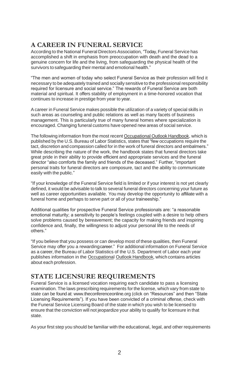### **A CAREER IN FUNERAL SERVICE**

According to the National Funeral Directors Association, "Today, Funeral Service has accomplished a shift in emphasis from preoccupation with death and the dead to a genuine concern for life and the living, from safeguarding the physical health of the survivors to safeguarding their mental and emotional health."

"The men and women of today who select Funeral Service as their profession will find it necessary to be adequately trained and socially sensitive to the professional responsibility required for licensure and social service." The rewards of Funeral Service are both material and spiritual. It offers stability of employment in a time-honored vocation that continues to increase in prestige from year to year.

A career in Funeral Service makes possible the utilization of a variety of special skills in such areas as counseling and public relations as well as many facets of business management. This is particularly true of many funeral homes where specialization is encouraged. Changing funeral customs have opened new areas of social service.

The following information from the most recent Occupational Outlook Handbook, which is published by the U.S. Bureau of Labor Statistics, states that "few occupations require the tact, discretion and compassion called for in the work of funeral directors and embalmers." While describing the nature of the work, the handbook states that funeral directors take great pride in their ability to provide efficient and appropriate services and the funeral director "also comforts the family and friends of the deceased." Further, "important personal traits for funeral directors are composure, tact and the ability to communicate easily with the public."

"If your knowledge of the Funeral Service field is limited or if your interest is not yet clearly defined, it would be advisable to talk to several funeral directors concerning your future as well as career opportunities available. You may develop the opportunity to affiliate with a funeral home and perhaps to serve part or all of your traineeship."

Additional qualities for prospective Funeral Service professionals are: "a reasonable emotional maturity; a sensitivity to people's feelings coupled with a desire to help others solve problems caused by bereavement; the capacity for making friends and inspiring confidence and, finally, the willingness to adjust your personal life to the needs of others."

"If you believe that you possess or can develop most of these qualities, then Funeral Service may offer you a rewardingcareer." For additional information on Funeral Service as a career, the Bureau of Labor Statistics of the U.S. Department of Labor each year publishes information in the Occupational Outlook Handbook, which contains articles about each profession.

### <span id="page-5-0"></span>**STATE LICENSURE REQUIREMENTS**

Funeral Service is a licensed vocation requiring each candidate to pass a licensing examination. The laws prescribing requirements for the license, which vary from state to state can be found at[: www.theconferenceonline.org \(](http://www.theconferenceonline.org/)click on "Resources" and then "State Licensing Requirements"). If you have been convicted of a criminal offense, check with the Funeral Service Licensing Board of the state in which you wish to be licensed to ensure that the conviction will not jeopardize your ability to qualify for licensure in that state.

As your first step you should be familiar with the educational, legal, and other requirements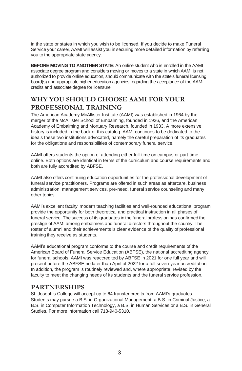in the state or states in which you wish to be licensed. If you decide to make Funeral Service your career,AAMI will assist you in securing more detailed information by referring you to the appropriate state agency.

**BEFORE MOVING TO ANOTHER STATE:**An online student who is enrolled in the AAMI associate degree program and considers moving or moves to a state in which AAMI is not authorized to provide online education, should communicate with the state's funeral licensing board(s) and appropriate higher education agencies regarding the acceptance of the AAMI credits and associate degree for licensure.

### **WHY YOU SHOULD CHOOSE AAMI FOR YOUR PROFESSIONAL TRAINING**

The American Academy McAllister Institute (AAMI) was established in 1964 by the merger of the McAllister School of Embalming, founded in 1926, and the American Academy of Embalming and Mortuary Research, founded in 1933. A more extensive history is included in the back of this catalog. AAMI continues to be dedicated to the ideals these two institutions advocated, namely the careful preparation of its graduates for the obligations and responsibilities of contemporary funeral service.

AAMI offers students the option of attending either full-time on campus or part-time online. Both options are identical in terms of the curriculum and course requirements and both are fully accredited by ABFSE.

AAMI also offers continuing education opportunities for the professional development of funeral service practitioners. Programs are offered in such areas as aftercare, business administration, management services, pre-need, funeral service counseling and many other topics.

AAMI's excellent faculty, modern teaching facilities and well-rounded educational program provide the opportunity for both theoretical and practical instruction in all phases of funeral service. The success of its graduates in the funeral profession has confirmed the prestige of AAMI among embalmers and funeral directors throughout the country. The roster of alumni and their achievements is clear evidence of the quality of professional training they receive as students.

AAMI's educational program conforms to the course and credit requirements of the American Board of Funeral Service Education (ABFSE), the national accrediting agency for funeral schools. AAMI was reaccredited by ABFSE in 2021 for one full year and will present before the ABFSE no later than April of 2022 for a full seven-year accreditation. In addition, the program is routinely reviewed and, where appropriate, revised by the faculty to meet the changing needs of its students and the funeral service profession.

### **PARTNERSHIPS**

St. Joseph's College will accept up to 64 transfer credits from AAMI's graduates. Students may pursue a B.S. in Organizational Management, a B.S. in Criminal Justice, a B.S. in Computer Information Technology, a B.S. in Human Services or a B.S. in General Studies. For more information call 718-940-5310.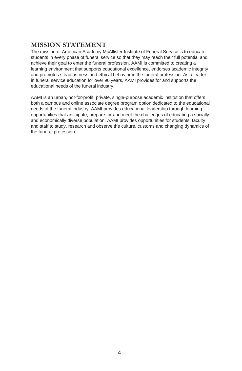### **MISSION STATEMENT**

The mission of American Academy McAllister Institute of Funeral Service is to educate students in every phase of funeral service so that they may reach their full potential and achieve their goal to enter the funeral profession. AAMI is committed to creating a learning environment that supports educational excellence, endorses academic integrity, and promotes steadfastness and ethical behavior in the funeral profession. As a leader in funeral service education for over 90 years, AAMI provides for and supports the educational needs of the funeral industry.

AAMI is an urban, not-for-profit, private, single-purpose academic institution that offers both a campus and online associate degree program option dedicated to the educational needs of the funeral industry. AAMI provides educational leadership through learning opportunities that anticipate, prepare for and meet the challenges of educating a socially and economically diverse population. AAMI provides opportunities for students, faculty and staff to study, research and observe the culture, customs and changing dynamics of the funeral profession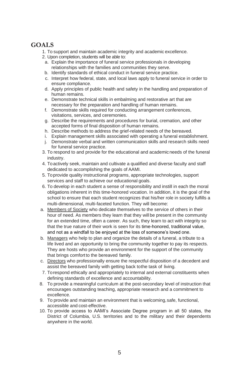### **GOALS**

- 1. To support and maintain academic integrity and academic excellence.
- 2. Upon completion, students will be able to:
	- a. Explain the importance of funeral service professionals in developing relationships with the families and communities they serve.
- b. Identify standards of ethical conduct in funeral service practice.
- c. Interpret how federal, state, and local laws apply to funeral service in order to ensure compliance.
- d. Apply principles of public health and safety in the handling and preparation of human remains.
- e. Demonstrate technical skills in embalming and restorative art that are necessary for the preparation and handling of human remains.
- f. Demonstrate skills required for conducting arrangement conferences, visitations, services, and ceremonies.
- g. Describe the requirements and procedures for burial, cremation, and other accepted forms of final disposition of human remains.
- h. Describe methods to address the grief-related needs of the bereaved.
- i. Explain management skills associated with operating a funeral establishment.
- j. Demonstrate verbal and written communication skills and research skills need for funeral service practice.
- 3. To respond to and provide for the educational and academicneeds of the funeral industry.
- 4. Toactively seek, maintain and cultivate a qualified and diverse faculty and staff dedicated to accomplishing the goals of AAMI.
- 5. Toprovide quality instructional programs, appropriate technologies, support services and staff to achieve our educational goals.
- 6. To develop in each student a sense of responsibility and instill in each the moral obligations inherent in this time-honored vocation. In addition, it is the goal of the school to ensure that each student recognizes that his/her role in society fulfills a multi-dimensional, multi-faceted function. They will become:
- a. Members of Society who dedicate themselves to the service of others in their hour of need. As members they learn that they will be present in the community for an extended time, often a career. As such, they learn to act with integrity so that the true nature of their work is seen for its time-honored, traditional value, and not as a windfall to be enjoyed at the loss of someone's loved one.
- b. Managers who help to plan and organize the details of a funeral, a tribute to a life lived and an opportunity to bring the community together to pay its respects. They are hosts who provide an environment for the support of the community that brings comfort to the bereaved family.
- c. Directors who professionally ensure the respectful disposition of a decedent and assist the bereaved family with getting back tothe task of living.
- 7. Torespond ethically and appropriately to internal and external constituents when defining standards of excellence and accountability.
- 8. To provide a meaningful curriculum at the post-secondary level of instruction that encourages outstanding teaching, appropriate research and a commitment to excellence.
- 9. To provide and maintain an environment that is welcoming,safe, functional, accessible and cost-effective.
- 10. To provide access to AAMI's Associate Degree program in all 50 states, the District of Columbia, U.S. territories and to the military and their dependents anywhere in the world.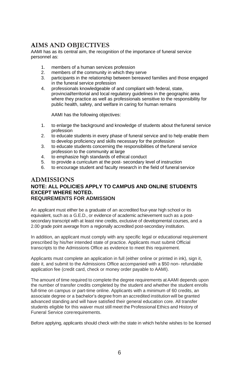### **AIMS AND OBJECTIVES**

AAMI has as its central aim, the recognition of the importance of funeral service personnel as:

- 1. members of a human services profession
- 2. members of the community in which they serve
- 3. participants in the relationship between bereaved families and those engaged in the funeral service profession
- 4. professionals knowledgeable of and compliant with federal, state, provincial/territorial and local regulatory guidelines in the geographic area where they practice as well as professionals sensitive to the responsibility for public health, safety, and welfare in caring for human remains

AAMI has the following objectives:

- 1. to enlarge the background and knowledge of students about thefuneral service profession
- 2. to educate students in every phase of funeral service and to help enable them to develop proficiency and skills necessary for the profession
- 3. to educate students concerning the responsibilities of thefuneral service profession to the community at large
- 4. to emphasize high standards of ethical conduct
- 5. to provide a curriculum at the post- secondary level of instruction
- 6. to encourage student and faculty research in the field of funeral service

#### <span id="page-9-0"></span>**ADMISSIONS NOTE: ALL POLICIES APPLY TO CAMPUS AND ONLINE STUDENTS EXCEPT WHERE NOTED. REQUIREMENTS FOR ADMISSION**

<span id="page-9-1"></span>An applicant must either be a graduate of an accredited four-year high school or its equivalent, such as a G.E.D., or evidence of academic achievement such as a postsecondary transcript with at least nine credits, exclusive of developmental courses, and a 2.00 grade point average from a regionally accredited post-secondary institution.

In addition, an applicant must comply with any specific legal or educational requirement prescribed by his/her intended state of practice. Applicants must submit Official transcripts to the Admissions Office as evidence to meet this requirement.

Applicants must complete an application in full (either online or printed in ink), sign it, date it, and submit to the Admissions Office accompanied with a \$50 non- refundable application fee (credit card, check or money order payable to AAMI).

The amount of time required to complete the degree requirements atAAMI depends upon the number of transfer credits completed by the student and whether the student enrolls full-time on campus or part-time online. Applicants with a minimum of 60 credits, an associate degree or a bachelor's degree from an accredited institution will be granted advanced standing and will have satisfied their general education core. All transfer students eligible for this waiver must still meet the Professional Ethics and History of Funeral Service corerequirements.

Before applying, applicants should check with the state in which he/she wishes to be licensed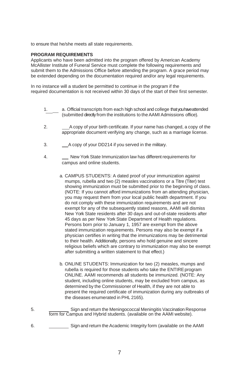to ensure that he/she meets all state requirements.

#### **PROGRAM REQUIREMENTS**

Applicants who have been admitted into the program offered by American Academy McAllister Institute of Funeral Service must complete the following requirements and submit them to the Admissions Office before attending the program. A grace period may be extended depending on the documentation required and/or any legal requirements.

In no instance will a student be permitted to continue in the program if the required documentation is not received within 30 days of the start of their first semester.

- 1. a. Official transcripts from each high school and college that you have attended (submitted directly from the institutions to theAAMI Admissions office).
- 2. A copy of your birth certificate. If your name has changed, a copy of the appropriate document verifying any change, such as a marriage license.
- 3. A copy of your DD214 if you served in the military.
- 4. New York State Immunization law has different requirements for campus and online students.
	- a. CAMPUS STUDENTS: A dated proof of your immunization against mumps, rubella and two (2) measles vaccinations or a Titre (Titer) test showing immunization must be submitted prior to the beginning of class. (NOTE: If you cannot afford immunizations from an attending physician, you may request them from your local public health department. If you do not comply with these immunization requirements and are not exempt for any of the subsequently stated reasons, AAMI will dismiss New York State residents after 30 days and out-of-state residents after 45 days as per New York State Department of Health regulations. Persons born prior to January 1, 1957 are exempt from the above stated immunization requirements. Persons may also be exempt if a physician certifies in writing that the immunizations may be detrimental to their health. Additionally, persons who hold genuine and sincere religious beliefs which are contrary to immunization may also be exempt after submitting a written statement to that effect.)
	- b. ONLINE STUDENTS: Immunization for two (2) measles, mumps and rubella is required for those students who take the ENTIRE program ONLINE. AAMI recommends all students be immunized. (NOTE: Any student, including online students, may be excluded from campus, as determined by the Commissioner of Health, if they are not able to present the required certificate of immunization during any outbreaks of the diseases enumerated in PHL 2165).
- 5. Sign and return the Meningococcal Meningitis Vaccination Response form for Campus and Hybrid students. (available on the AAMI website).
- 6. Sign and return the Academic Integrity form (available on the AAMI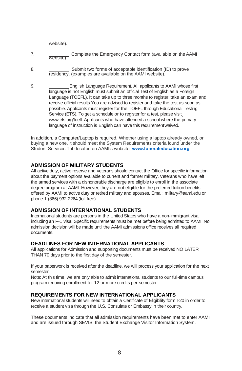website).

- 7. Complete the Emergency Contact form (available on the AAMI website).
- 8. Submit two forms of acceptable identification (ID) to prove residency. (examples are available on the AAMI website).
- 9. English Language Requirement. All applicants to AAMI whose first language is not English must submit an official Test of English as a Foreign Language (TOEFL). It can take up to three months to register, take an exam and receive official results You are advised to register and take the test as soon as possible. Applicants must register for the TOEFL through Educational Testing Service (ETS). To get a schedule or to register for a test, please vis[it](http://www.ets.org/toefl) [www.ets.org/toefl. A](http://www.ets.org/toefl)pplicants who have attended a school where the primary language of instruction is English can have this requirementwaived.

<span id="page-11-0"></span>In addition, a Computer/Laptop is required. Whether using a laptop already owned, or buying a new one, it should meet the System Requirements criteria found under the Student Services Tab located on AAMI's website, **[www.funeraleducation.org](http://www.funeraleducation.org/)**.

#### **ADMISSION OF MILITARY STUDENTS**

All active duty, active reserve and veterans should contact the Office for specific information about the payment options available to current and former military. Veterans who have left the armed services with a dishonorable discharge are eligible to enroll in the associate degree program at AAMI. However, they are not eligible for the preferred tuition benefits offered by AAMI to active duty or retired military and spouses. Email[: military@aami.edu o](mailto:military@aami.edu)r phone 1-(866) 932-2264 (toll-free).

#### **ADMISSION OF INTERNATIONAL STUDENTS**

International students are persons in the United States who have a non-immigrant visa including an F-1 visa. Specific requirements must be met before being admitted to AAMI. No admission decision will be made until the AAMI admissions office receives all required documents.

#### **DEADLINES FOR NEW INTERNATIONAL APPLICANTS**

All applications for Admission and supporting documents must be received NO LATER THAN 70 days prior to the first day of the semester.

If your paperwork is received after the deadline, we will process your application for the next semester.

Note: At this time, we are only able to admit international students to our full-time campus program requiring enrollment for 12 or more credits per semester.

#### **REQUIREMENTS FOR NEW INTERNATIONAL APPLICANTS**

New international students will need to obtain a Certificate of Eligibility form I-20 in order to receive a student visa through the U.S. Consulate or Embassy in their country.

These documents indicate that all admission requirements have been met to enter AAMI and are issued through SEVIS, the Student Exchange Visitor Information System.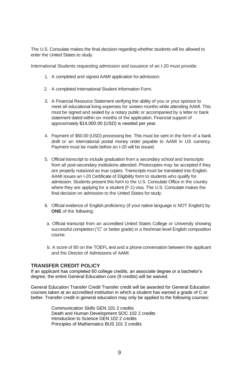The U.S. Consulate makes the final decision regarding whether students will be allowed to enter the United States to study.

International Students requesting admission and issuance of an I-20 must provide:

- 1. A completed and signed AAMI application foradmission.
- 2. A completed International Student Information Form.
- 3. A Financial Resource Statement verifying the ability of you or your sponsor to meet all educational living expenses for sixteen months while attending AAMI. This must be signed and sealed by a notary public or accompanied by a letter or bank statement dated within six months of the application. Financial support of approximately \$14,000.00 (USD) is needed per year.
- 4. Payment of \$50.00 (USD) processing fee. This must be sent in the form of a bank draft or an international postal money order payable to AAMI in US currency. Payment must be made before an I-20 will be issued.
- 5. Official transcript to include graduation from a secondary school and transcripts from all post-secondary institutions attended. Photocopies may be accepted if they are properly notarized as true copies. Transcripts must be translated into English. AAMI issues an I-20 Certificate of Eligibility form to students who qualify for admission. Students present this form to the U.S. Consulate Office in the country where they are applying for a student (F-1) visa. The U.S. Consulate makes the final decision on admission to the United States for study.
- 6. Official evidence of English proficiency (if your native language is NOT English) by **ONE** of the following:
	- a. Official transcript from an accredited United States College or University showing successful completion ("C" or better grade) in a freshman level English composition course.
	- b. A score of 80 on the TOEFL test and a phone conversation between the applicant and the Director of Admissions of AAMI.

#### **TRANSFER CREDIT POLICY**

If an applicant has completed 60 college credits, an associate degree or a bachelor's degree, the entire General Education core (9 credits) will be waived.

General Education Transfer Credit Transfer credit will be awarded for General Education courses taken at an accredited institution in which a student has earned a grade of C or better. Transfer credit in general education may only be applied to the following courses:

> Communication Skills GEN 101 2 credits Death and Human Development SOC 102 2 credits Introduction to Science GEN 102 2 credits Principles of Mathematics BUS 101 3 credits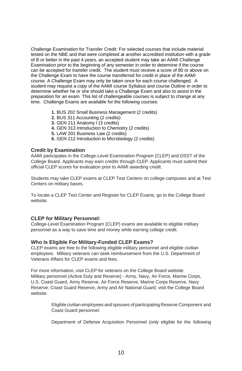Challenge Examination for Transfer Credit: For selected courses that include material tested on the NBE and that were completed at another accredited institution with a grade of B or better in the past 4 years, an accepted student may take an AAMI Challenge Examination prior to the beginning of any semester in order to determine if the course can be accepted for transfer credit. The student must receive a score of 80 or above on the Challenge Exam to have the course transferred for credit in place of the AAMI course. A Challenge Exam may only be taken once for each course challenged. A student may request a copy of the AAMI course Syllabus and course Outline in order to determine whether he or she should take a Challenge Exam and also to assist in the preparation for an exam. This list of challengeable courses is subject to change at any time. Challenge Exams are available for the following courses:

- **1.** BUS 202 Small Business Management (2 credits)
- **2.** BUS 311 Accounting (2 credits)
- **3.** GEN 211 Anatomy I (3 credits)
- **4.** GEN 313 Introduction to Chemistry (2 credits)
- **5.** LAW 201 Business Law (2 credits)
- **6.** GEN 212 Introduction to Microbiology (2 credits)

#### **Credit by Examination**

AAMI participates in the College-Level Examination Program (CLEP) and DSST of the College Board. Applicants may earn credits through CLEP. Applicants must submit their official CLEP scores for evaluation prior to AAMI awarding credit.

Students may take CLEP exams at CLEP Test Centers on college campuses and at Test Centers on military bases.

To locate a CLEP Test Center and Register for CLEP Exams, go to the College Board website.

#### **CLEP for Military Personnel:**

College-Level Examination Program (CLEP) exams are available to eligible military personnel as a way to save time and money while earning college credit.

#### **Who Is Eligible For Military-Funded CLEP Exams?**

CLEP exams are free to the following eligible military personnel and eligible civilian employees. Military veterans can seek reimbursement from the U.S. Department of Veterans Affairs for CLEP exams and fees.

For more information, visit CLEP for veterans on the College Board website. Military personnel (Active Duty and Reserve) - Army, Navy, Air Force, Marine Corps, U.S. Coast Guard, Army Reserve, Air Force Reserve, Marine Corps Reserve, Navy Reserve, Coast Guard Reserve, Army and Air National Guard; visit the College Board website.

> Eligible civilian employees and spouses of participating Reserve Component and Coast Guard personnel.

> Department of Defense Acquisition Personnel (only eligible for the following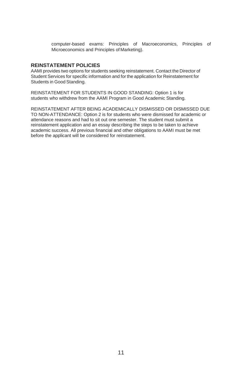computer-based exams: Principles of Macroeconomics, Principles of Microeconomics and Principles of Marketing).

#### **REINSTATEMENT POLICIES**

AAMI provides two options for students seeking reinstatement. Contact the Director of Student Services for specific information and for the application for Reinstatement for Students in Good Standing.

REINSTATEMENT FOR STUDENTS IN GOOD STANDING: Option 1 is for students who withdrew from the AAMI Program in Good Academic Standing.

REINSTATEMENT AFTER BEING ACADEMICALLY DISMISSED OR DISMISSED DUE TO NON-ATTENDANCE: Option 2 is for students who were dismissed for academic or attendance reasons and had to sit out one semester. The student must submit a reinstatement application and an essay describing the steps to be taken to achieve academic success. All previous financial and other obligations to AAMI must be met before the applicant will be considered for reinstatement.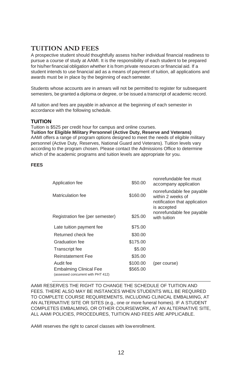### <span id="page-15-0"></span>**TUITION AND FEES**

A prospective student should thoughtfully assess his/her individual financial readiness to pursue a course of study at AAMI. It is the responsibility of each student to be prepared for his/her financial obligation whether it is from private resources or financial aid. If a student intends to use financial aid as a means of payment of tuition, all applications and awards must be in place by the beginning of each semester.

Students whose accounts are in arrears will not be permitted to register for subsequent semesters, be granted a diploma or degree, or be issued a transcript of academic record.

All tuition and fees are payable in advance at the beginning of each semester in accordance with the following schedule.

#### **TUITION**

Tuition is \$525 per credit hour for campus and online courses. **Tuition for Eligible Military Personnel (Active Duty, Reserve and Veterans)** AAMI offers a range of program options designed to meet the needs of eligible military personnel (Active Duty, Reserves, National Guard and Veterans). Tuition levels vary according to the program chosen. Please contact the Admissions Office to determine which of the academic programs and tuition levels are appropriate for you.

#### **FEES**

| \$50.00  | nonrefundable fee must<br>accompany application                                                |
|----------|------------------------------------------------------------------------------------------------|
| \$160.00 | nonrefundable fee payable<br>within 2 weeks of<br>notification that application<br>is accepted |
| \$25.00  | nonrefundable fee payable<br>with tuition                                                      |
| \$75.00  |                                                                                                |
| \$30.00  |                                                                                                |
| \$175.00 |                                                                                                |
| \$5.00   |                                                                                                |
| \$35.00  |                                                                                                |
| \$100.00 | (per course)                                                                                   |
| \$565.00 |                                                                                                |
|          |                                                                                                |

AAMI RESERVES THE RIGHT TO CHANGE THE SCHEDULE OF TUITION AND FEES. THERE ALSO MAY BE INSTANCES WHEN STUDENTS WILL BE REQUIRED TO COMPLETE COURSE REQUIREMENTS, INCLUDING CLINICAL EMBALMING, AT AN ALTERNATIVE SITE OR SITES (e.g., one or more funeral homes). IF A STUDENT COMPLETES EMBALMING, OR OTHER COURSEWORK, AT AN ALTERNATIVE SITE, ALL AAMI POLICIES, PROCEDURES, TUITION AND FEES ARE APPLICABLE.

AAMI reserves the right to cancel classes with lowenrollment.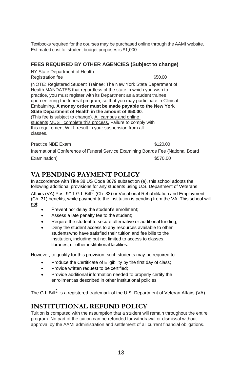Textbooks required for the courses may be purchased online through the AAMI website. Estimated cost for student budget purposes is \$1,000.

#### **FEES REQUIRED BY OTHER AGENCIES (Subject to change)**

NY State Department of Health Registration fee \$50.00

{NOTE: Registered Student Trainee: The New York State Department of Health MANDATES that regardless of the state in which you wish to practice, you must register with its Department as a student trainee, upon entering the funeral program, so that you may participate in Clinical Embalming. **A money order must be made payable to the New York State Department of Health in the amount of \$50.00**. (This fee is subject to change). All campus and online students MUST complete this process. Failure to comply with this requirement WILL result in your suspension from all classes.

Practice NBE Exam \$120.00

International Conference of Funeral Service Examining Boards Fee (National Board Examination) \$570.00

### **VA PENDING PAYMENT POLICY**

In accordance with Title 38 US Code 3679 subsection (e), this school adopts the following additional provisions for any students using U.S. Department of Veterans Affairs (VA) Post  $9/11$  G.I. Bill<sup>®</sup> (Ch. 33) or Vocational Rehabilitation and Employment (Ch. 31) benefits, while payment to the institution is pending from the VA. This school will not:

- Prevent nor delay the student's enrollment;
- Assess a late penalty fee to the student;
- Require the student to secure alternative or additional funding;
- Deny the student access to any resources available to other studentswho have satisfied their tuition and fee bills to the institution, including but not limited to access to classes, libraries, or other institutional facilities.

However, to qualify for this provision, such students may be required to:

- Produce the Certificate of Eligibility by the first day of class;
- Provide written request to be certified;
- Provide additional information needed to properly certify the enrollmentas described in other institutional policies.

The G.I. Bill<sup>®</sup> is a registered trademark of the U.S. Department of Veteran Affairs (VA)

### **INSTITUTIONAL REFUND POLICY**

Tuition is computed with the assumption that a student will remain throughout the entire program. No part of the tuition can be refunded for withdrawal or dismissal without approval by the AAMI administration and settlement of all current financial obligations.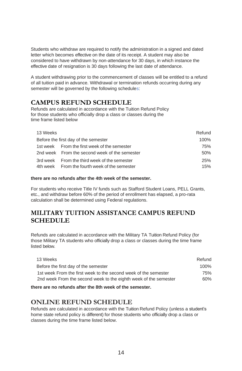Students who withdraw are required to notify the administration in a signed and dated letter which becomes effective on the date of its receipt. A student may also be considered to have withdrawn by non-attendance for 30 days, in which instance the effective date of resignation is 30 days following the last date of attendance.

A student withdrawing prior to the commencement of classes will be entitled to a refund of all tuition paid in advance. Withdrawal or termination refunds occurring during any semester will be governed by the following schedules:

### <span id="page-17-0"></span>**CAMPUS REFUND SCHEDULE**

Refunds are calculated in accordance with the Tuition Refund Policy for those students who officially drop a class or classes during the time frame listed below

| 13 Weeks |                                               | Refund |
|----------|-----------------------------------------------|--------|
|          | Before the first day of the semester          | 100%   |
|          | 1st week From the first week of the semester  | 75%    |
|          | 2nd week From the second week of the semester | 50%    |
|          | 3rd week From the third week of the semester  | 25%    |
|          | 4th week From the fourth week of the semester | 15%    |

#### **there are no refunds after the 4th week of the semester.**

For students who receive Title IV funds such as Stafford Student Loans, PELL Grants, etc., and withdraw before 60% of the period of enrollment has elapsed, a pro-rata calculation shall be determined using Federal regulations.

### **MILITARY TUITION ASSISTANCE CAMPUS REFUND SCHEDULE**

Refunds are calculated in accordance with the Military TA Tuition Refund Policy (for those Military TA students who officially drop a class or classes during the time frame listed below.

| 13 Weeks                                                         | Refund |
|------------------------------------------------------------------|--------|
| Before the first day of the semester                             | 100%   |
| 1st week From the first week to the second week of the semester  | 75%    |
| 2nd week From the second week to the eighth week of the semester | 60%    |
|                                                                  |        |

**there are no refunds after the 8th week of the semester.**

### **ONLINE REFUND SCHEDULE**

Refunds are calculated in accordance with the Tuition Refund Policy (unless a student's home state refund policy is different) for those students who officially drop a class or classes during the time frame listed below.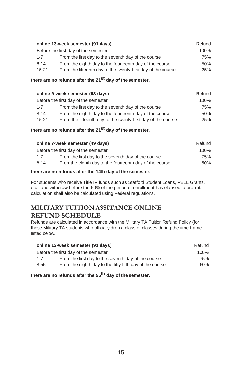| online 13-week semester (91 days)                                         |      |  |
|---------------------------------------------------------------------------|------|--|
| Before the first day of the semester                                      | 100% |  |
| From the first day to the seventh day of the course<br>$1 - 7$            | 75%  |  |
| From the eighth day to the fourteenth day of the course<br>$8 - 14$       | 50%  |  |
| From the fifteenth day to the twenty-first day of the course<br>$15 - 21$ | 25%  |  |

#### **there are no refunds after the 21st day of thesemester.**

|           | online 9-week semester (63 days)                             | Refund |
|-----------|--------------------------------------------------------------|--------|
|           | Before the first day of the semester                         | 100%   |
| $1 - 7$   | From the first day to the seventh day of the course          | 75%    |
| $8 - 14$  | From the eighth day to the fourteenth day of the course      | 50%    |
| $15 - 21$ | From the fifteenth day to the twenty-first day of the course | 25%    |

### **there are no refunds after the 21st day of thesemester.**

| Refund  |
|---------|
| $100\%$ |
| 75%     |
| 50%     |
|         |

#### **there are no refunds after the 14th day of the semester.**

For students who receive Title IV funds such as Stafford Student Loans, PELL Grants, etc., and withdraw before the 60% of the period of enrollment has elapsed, a pro-rata calculation shall also be calculated using Federal regulations.

### **MILITARY TUITION ASSITANCE ONLINE REFUND SCHEDULE**

Refunds are calculated in accordance with the Military TA Tuition Refund Policy (for those Military TA students who officially drop a class or classes during the time frame listed below.

| online 13-week semester (91 days) |                                                          |      |
|-----------------------------------|----------------------------------------------------------|------|
|                                   | Before the first day of the semester                     | 100% |
| $1 - 7$                           | From the first day to the seventh day of the course      | 75%  |
| $8 - 55$                          | From the eighth day to the fifty-fifth day of the course | 60%  |

### **there are no refunds after the 55th day of the semester.**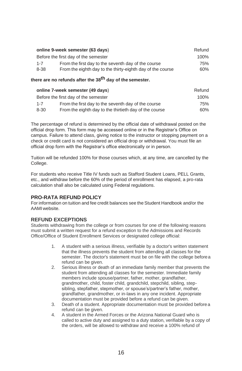|         | online 9-week semester (63 days)                           | Refund |
|---------|------------------------------------------------------------|--------|
|         | Before the first day of the semester                       | 100%   |
| $1 - 7$ | From the first day to the seventh day of the course        | 75%    |
| 8-38    | From the eighth day to the thirty-eighth day of the course | 60%    |

#### **there are no refunds after the 38th day of the semester.**

| online 7-week semester (49 days) |                                                        |      |
|----------------------------------|--------------------------------------------------------|------|
|                                  | Before the first day of the semester                   | 100% |
| $1 - 7$                          | From the first day to the seventh day of the course    | 75%  |
| $8 - 30$                         | From the eighth day to the thirtieth day of the course | 60%  |

The percentage of refund is determined by the official date of withdrawal posted on the official drop form. This form may be accessed online or in the Registrar's Office on campus. Failure to attend class, giving notice to the instructor or stopping payment on a check or credit card is not considered an official drop or withdrawal. You must file an official drop form with the Registrar's office electronically or in person.

Tuition will be refunded 100% for those courses which, at any time, are cancelled by the College.

For students who receive Title IV funds such as Stafford Student Loans, PELL Grants, etc., and withdraw before the 60% of the period of enrollment has elapsed, a pro-rata calculation shall also be calculated using Federal regulations.

#### **PRO-RATA REFUND POLICY**

For information on tuition and fee credit balances see the Student Handbook and/or the AAMI website.

#### **REFUND EXCEPTIONS**

Students withdrawing from the college or from courses for one of the following reasons must submit a written request for a refund exception to the Admissions and Records Office/Office of Student Enrollment Services or designated college official:

- 1. A student with a serious illness, verifiable by a doctor's written statement that the illness prevents the student from attending all classes for the semester. The doctor's statement must be on file with the college beforea refund can be given.
- 2. Serious illness or death of an immediate family member that prevents the student from attending all classes for the semester. Immediate family members include spouse/partner, father, mother, grandfather, grandmother, child, foster child, grandchild, stepchild, sibling, stepsibling, stepfather, stepmother, or spouse's/partner's father, mother, grandfather, grandmother, or in-laws in any one incident. Appropriate documentation must be provided before a refund can be given.
- 3. Death of a student. Appropriate documentation must be provided before a refund can be given.
- 4. A student in the Armed Forces or the Arizona National Guard who is called to active duty and assigned to a duty station, verifiable by a copy of the orders, will be allowed to withdraw and receive a 100% refund of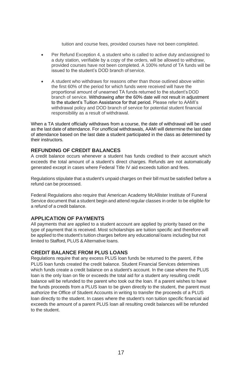tuition and course fees, provided courses have not been completed.

- Per Refund Exception 4, a student who is called to active duty andassigned to a duty station, verifiable by a copy of the orders, will be allowed to withdraw, provided courses have not been completed. A 100% refund of TA funds will be issued to the student's DOD branch of service.
- A student who withdraws for reasons other than those outlined above within the first 60% of the period for which funds were received will have the proportional amount of unearned TA funds returned to the student's DOD branch of service. Withdrawing after the 60% date will not result in adjustment to the student's Tuition Assistance for that period. Please refer to AAMI's withdrawal policy and DOD branch of service for potential student financial responsibility as a result of withdrawal.

When a TA student officially withdraws from a course, the date of withdrawal will be used as the last date of attendance. For unofficial withdrawals, AAMI will determine the last date of attendance based on the last date a student participated in the class as determined by their instructors.

#### **REFUNDING OF CREDIT BALANCES**

A credit balance occurs whenever a student has funds credited to their account which exceeds the total amount of a student's direct charges. Refunds are not automatically generated except in cases where Federal Title IV aid exceeds tuition and fees.

Regulations stipulate that a student's unpaid charges on their bill must be satisfied before a refund can be processed.

Federal Regulations also require that American Academy McAllister Institute of Funeral Service document that a student begin and attend regular classes in order to be eligible for a refund of a credit balance.

#### **APPLICATION OF PAYMENTS**

All payments that are applied to a student account are applied by priority based on the type of payment that is received. Most scholarships are tuition specific and therefore will be applied to the student's tuition charges before any educational loans including but not limited to Stafford, PLUS & Alternative loans.

#### **CREDIT BALANCE FROM PLUS LOANS**

Regulations require that any excess PLUS loan funds be returned to the parent, if the PLUS loan funds created the credit balance. Student Financial Services determines which funds create a credit balance on a student's account. In the case where the PLUS loan is the only loan on file or exceeds the total aid for a student any resulting credit balance will be refunded to the parent who took out the loan. If a parent wishes to have the funds proceeds from a PLUS loan to be given directly to the student, the parent must authorize the Office of Student Accounts in writing to transfer the proceeds of a PLUS loan directly to the student. In cases where the student's non tuition specific financial aid exceeds the amount of a parent PLUS loan all resulting credit balances will be refunded to the student.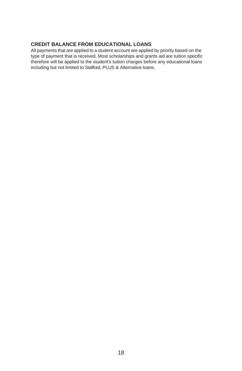#### **CREDIT BALANCE FROM EDUCATIONAL LOANS**

All payments that are applied to a student account are applied by priority based on the type of payment that is received. Most scholarships and grants aid are tuition specific therefore will be applied to the student's tuition charges before any educational loans including but not limited to Stafford, PLUS & Alternative loans.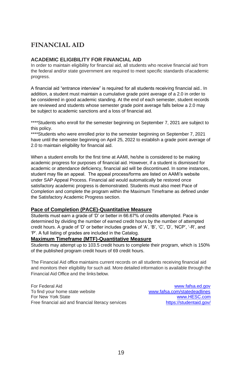### <span id="page-22-0"></span>**FINANCIAL AID**

#### <span id="page-22-1"></span>**ACADEMIC ELIGIBILITY FOR FINANCIAL AID**

In order to maintain eligibility for financial aid, all students who receive financial aid from the federal and/or state government are required to meet specific standards ofacademic progress.

A financial aid "entrance interview" is required for all students receiving financial aid.. In addition, a student must maintain a cumulative grade point average of a 2.0 in order to be considered in good academic standing. At the end of each semester, student records are reviewed and students whose semester grade point average falls below a 2.0 may be subject to academic sanctions and a loss of financial aid.

\*\*\*\*Students who enroll for the semester beginning on September 7, 2021 are subject to this policy.

\*\*\*\*Students who were enrolled prior to the semester beginning on September 7, 2021 have until the semester beginning on April 25, 2022 to establish a grade point average of 2.0 to maintain eligibility for financial aid.

When a student enrolls for the first time at AAMI, he/she is considered to be making academic progress for purposes of financial aid. However, if a student is dismissed for academic or attendance deficiency, financial aid will be discontinued. In some instances, student may file an appeal. The appeal process/forms are listed on AAMI's website under SAP Appeal Process. Financial aid would automatically be restored once satisfactory academic progress is demonstrated. Students must also meet Pace of Completion and complete the program within the Maximum Timeframe as defined under the Satisfactory Academic Progress section.

#### **Pace of Completion (PACE)-Quantitative Measure**

Students must earn a grade of 'D' or better in 66.67% of credits attempted. Pace is determined by dividing the number of earned credit hours by the number of attempted credit hours. A grade of 'D' or better includes grades of 'A', 'B', 'C', 'D', 'NCP', '-R', and 'P'. A full listing of grades are included in the Catalog.

#### **Maximum Timeframe (MTF)-Quantitative Measure**

Students may attempt up to 103.5 credit hours to complete their program, which is 150% of the published program credit hours of 69 credit hours.

The Financial Aid office maintains current records on all students receiving financial aid and monitors their eligibility for such aid. More detailed information is available through the Financial Aid Office and the links below.

For Federal Aid<br>To find your home state website<br>To find your home state website<br> $\frac{www.fafsa.com/statedeadlines}{www.fafsa.com/statedeadlines}$ To find your home state website For New York State [www.HESC.com](http://www.hesc.com/) Free financial aid and financial literacy services <https://studentaid.gov/>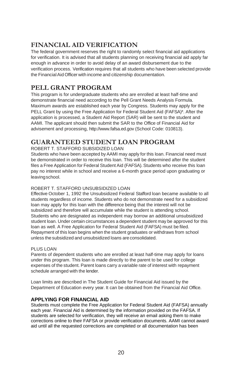### **FINANCIAL AID VERIFICATION**

The federal government reserves the right to randomly select financial aid applications for verification. It is advised that all students planning on receiving financial aid apply far enough in advance in order to avoid delay of an award disbursement due to the verification process. Verification requires that all students who have been selected provide the Financial Aid Officer with income and citizenship documentation.

### <span id="page-23-0"></span>**PELL GRANT PROGRAM**

This program is for undergraduate students who are enrolled at least half-time and demonstrate financial need according to the Pell Grant Needs Analysis Formula. Maximum awards are established each year by Congress. Students may apply for the PELL Grant by using the Free Application for Federal Student Aid (FAFSA)\*. After the application is processed, a Student Aid Report (SAR) will be sent to the student and AAMI. The applicant should then submit the SAR to the Office of Financial Aid for advisement and processin[g, http://www.fafsa.ed.gov \(](http://www.fafsa.ed.gov/)School Code: 010813).

### <span id="page-23-1"></span>**GUARANTEED STUDENT LOAN PROGRAM**

ROBERT T. STAFFORD SUBSIDIZED LOAN

Students who have been accepted byAAMI may apply for this loan. Financial need must be demonstrated in order to receive this loan. This will be determined after the student files a Free Application for Federal Student Aid (FAFSA). Students who receive this loan pay no interest while in school and receive a 6-month grace period upon graduating or leavingschool.

#### ROBERT T. STAFFORD UNSUBSIDIZED LOAN

Effective October 1, 1992 the Unsubsidized Federal Stafford loan became available to all students regardless of income. Students who do not demonstrate need for a subsidized loan may apply for this loan with the difference being that the interest will not be subsidized and therefore will accumulate while the student is attending school. Students who are designated as independent may borrow an additional unsubsidized student loan. Under certain circumstances a dependent student may be approved for this loan as well. A Free Application for Federal Student Aid (FAFSA) must be filed. Repayment of this loan begins when the student graduates or withdraws from school unless the subsidized and unsubsidized loans are consolidated.

#### PLUS LOAN

Parents of dependent students who are enrolled at least half-time may apply for loans under this program. This loan is made directly to the parent to be used for college expenses of the student. Parent loans carry a variable rate of interest with repayment schedule arranged with the lender.

Loan limits are described in The Student Guide for Financial Aid issued by the Department of Education every year. It can be obtained from the Financial Aid Office.

#### <span id="page-23-2"></span>**APPLYING FOR FINANCIAL AID**

Students must complete the Free Application for Federal Student Aid (FAFSA) annually each year. Financial Aid is determined by the information provided on the FAFSA. If students are selected for verification, they will receive an email asking them to make corrections online to their FAFSA or provide verification documents. AAMI cannot award aid until all the requested corrections are completed or all documentation has been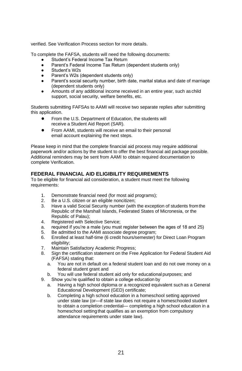verified. See Verification Process section for more details.

To complete the FAFSA, students will need the following documents:

- Student's Federal Income Tax Return
- Parent's Federal Income Tax Return (dependent students only)
- Student's W2s
- Parent's W2s (dependent students only)
- Parent's social security number, birth date, marital status and date of marriage (dependent students only)
- Amounts of any additional income received in an entire year, such as child support, social security, welfare benefits, etc.

Students submitting FAFSAs to AAMI will receive two separate replies after submitting this application.

- From the U.S. Department of Education, the students will receive a Student Aid Report (SAR).
- From AAMI, students will receive an email to their personal email account explaining the next steps.

Please keep in mind that the complete financial aid process may require additional paperwork and/or actions by the student to offer the best financial aid package possible. Additional reminders may be sent from AAMI to obtain required documentation to complete Verification.

#### **FEDERAL FINANCIAL AID ELIGIBILITY REQUIREMENTS**

To be eligible for financial aid consideration, a student must meet the following requirements:

- 1. Demonstrate financial need (for most aid programs);
- 2. Be a U.S. citizen or an eligible noncitizen;
- 3. Have a valid Social Security number (with the exception of students fromthe Republic of the Marshall Islands, Federated States of Micronesia, or the Republic of Palau);
- 4. Registered with Selective Service;
- a. required if you're a male (you must register between the ages of 18 and 25)<br>5. Be admitted to the AAMI associate degree program:
- Be admitted to the AAMI associate degree program;
- 6. Enrolled at least half-time (6 credit hours/semester) for Direct Loan Program eligibility:
- 7. Maintain Satisfactory Academic Progress;
- 8. Sign the certification statement on the Free Application for Federal Student Aid (FAFSA) stating that:
	- a. You are not in default on a federal student loan and do not owe money on a federal student grant and
	- b. You will use federal student aid only for educational purposes; and
- 9. Show you're qualified to obtain a college education by
	- a. Having a high school diploma or a recognized equivalent such as a General Educational Development (GED) certificate;
	- b. Completing a high school education in a homeschool setting approved under state law (or—if state law does not require a homeschooled student to obtain a completion credential— completing a high school education in a homeschool setting that qualifies as an exemption from compulsory attendance requirements under state law).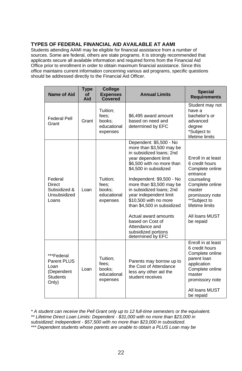#### **TYPES OF FEDERAL FINANCIAL AID AVAILABLE AT AAMI**

Students attending AAMI may be eligible for financial assistance from a number of sources. Some are federal, others are state programs. It is strongly recommended that applicants secure all available information and required forms from the Financial Aid Office prior to enrollment in order to obtain maximum financial assistance. Since this office maintains current information concerning various aid programs, specific questions should be addressed directly to the Financial Aid Officer.

| Name of Aid                                                                 | Type<br><b>of</b><br>Aid | <b>College</b><br><b>Expenses</b><br>Covered           | <b>Annual Limits</b>                                                                                                                                                                                                                                                                                                                                                                                                                          | <b>Special</b><br><b>Requirements</b>                                                                                                                                                               |
|-----------------------------------------------------------------------------|--------------------------|--------------------------------------------------------|-----------------------------------------------------------------------------------------------------------------------------------------------------------------------------------------------------------------------------------------------------------------------------------------------------------------------------------------------------------------------------------------------------------------------------------------------|-----------------------------------------------------------------------------------------------------------------------------------------------------------------------------------------------------|
| <b>Federal Pell</b><br>Grant                                                | Grant                    | Tuition:<br>fees:<br>books:<br>educational<br>expenses | \$6,495 award amount<br>based on need and<br>determined by EFC                                                                                                                                                                                                                                                                                                                                                                                | Student may not<br>have a<br>bachelor's or<br>advanced<br>degree<br>*Subject to<br>lifetime limits                                                                                                  |
| Federal<br>Direct<br>Subsidized &<br>Unsubsidized<br>Loans                  | Loan                     | Tuition:<br>fees:<br>books:<br>educational<br>expenses | Dependent: \$5,500 - No<br>more than \$3,500 may be<br>in subsidized loans; 2nd<br>year dependent limit<br>\$6,500 with no more than<br>\$4,500 in subsidized<br>Independent: \$9,500 - No<br>more than \$3,500 may be<br>in subsidized loans; 2nd<br>year independent limit<br>\$10,500 with no more<br>than \$4,500 in subsidized<br>Actual award amounts<br>based on Cost of<br>Attendance and<br>subsidized portions<br>determined by EFC | Enroll in at least<br>6 credit hours<br>Complete online<br>entrance<br>counseling<br>Complete online<br>master<br>promissory note<br>**Subject to<br>lifetime limits<br>All loans MUST<br>be repaid |
| ***Federal<br>Parent PLUS<br>Loan<br>(Dependent<br><b>Students</b><br>Only) | Loan                     | Tuition;<br>fees:<br>books:<br>educational<br>expenses | Parents may borrow up to<br>the Cost of Attendance<br>less any other aid the<br>student receives                                                                                                                                                                                                                                                                                                                                              | Enroll in at least<br>6 credit hours<br>Complete online<br>parent loan<br>application<br>Complete online<br>master<br>promissory note<br>All loans MUST<br>be repaid                                |

*\* A student can receive the Pell Grant only up to 12 full-time semesters or the equivalent. \*\* Lifetime Direct Loan Limits: Dependent - \$31,000 with no more than \$23,000 in subsidized; Independent - \$57,500 with no more than \$23,000 in subsidized.*

*\*\*\* Dependent students whose parents are unable to obtain a PLUS Loan may be*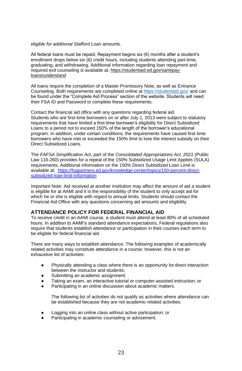#### *eligible for additional Stafford Loan amounts.*

All federal loans must be repaid. Repayment begins six (6) months after a student's enrollment drops below six (6) credit hours, including students attending part-time, graduating, and withdrawing. Additional information regarding loan repayment and required exit counseling is available at[: https://studentaid.ed.gov/sa/repay](https://studentaid.ed.gov/sa/repay-loans/understand)[loans/understand](https://studentaid.ed.gov/sa/repay-loans/understand)

All loans require the completion of a Master Promissory Note, as well as Entrance Counseling. Both requirements are completed online a[t https://studentaid.gov/](https://studentaid.gov/) and can be found under the "Complete Aid Process" section of the website. Students will need their FSA ID and Password to complete these requirements.

Contact the financial aid office with any questions regarding federal aid. Students who are first-time borrowers on or after July 1, 2013 were subject to statutory requirements that have limited a first-time borrower's eligibility for Direct Subsidized Loans to a period not to exceed 150% of the length of the borrower's educational program. In addition, under certain conditions, the requirements have caused first-time borrowers who have met or exceeded the 150% limit to lose the interest subsidy on their Direct Subsidized Loans.

The *FAFSA Simplification Act*, part of the *Consolidated Appropriations Act, 2021* (Public Law 116-260) provides for a repeal of the 150% Subsidized Usage Limit Applies (SULA) requirements. Additional information on the 150% Direct Subsidized Loan Limit is available at: [https://fsapartners.ed.gov/knowledge-center/topics/150-percent-direct](https://fsapartners.ed.gov/knowledge-center/topics/150-percent-direct-subsidized-loan-limit-information)[subsidized-loan-limit-information](https://fsapartners.ed.gov/knowledge-center/topics/150-percent-direct-subsidized-loan-limit-information)

Important Note: Aid received at another institution may affect the amount of aid a student is eligible for at AAMI and it is the responsibility of the student to only accept aid for which he or she is eligible with regard to annual limits. Students should contact the Financial Aid Office with any questions concerning aid amounts and eligibility.

#### **ATTENDANCE POLICY FOR FEDERAL FINANCIAL AID**

To receive credit in an AAMI course, a student must attend at least 80% of all scheduled hours. In addition to AAMI's standard attendance expectations, Federal regulations also require that students establish attendance or participation in their courses each term to be eligible for federal financial aid.

There are many ways to establish attendance. The following examples of academically related activities may constitute attendance in a course; however, this is not an exhaustive list of activities:

- Physically attending a class where there is an opportunity for direct interaction between the instructor and students;
- Submitting an academic assignment;
- Taking an exam, an interactive tutorial or computer-assisted instruction; or
- Participating in an online discussion about academic matters.

The following list of activities do not qualify as activities where attendance can be established because they are not academic-related activities:

- Logging into an online class without active participation; or
- Participating in academic counseling or advisement.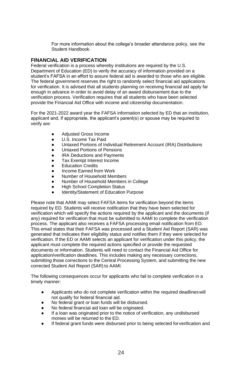For more information about the college's broader attendance policy, see the Student Handbook.

#### **FINANCIAL AID VERIFICATION**

Federal verification is a process whereby institutions are required by the U.S. Department of Education (ED) to verify the accuracy of information provided on a student's FAFSA in an effort to assure federal aid is awarded to those who are eligible. The federal government reserves the right to randomly select financial aid applications for verification. It is advised that all students planning on receiving financial aid apply far enough in advance in order to avoid delay of an award disbursement due to the verification process. Verification requires that all students who have been selected provide the Financial Aid Office with income and citizenship documentation.

For the 2021-2022 award year the FAFSA information selected by ED that an institution, applicant and, if appropriate, the applicant's parent(s) or spouse may be required to verify are:

- Adjusted Gross Income
- U.S. Income Tax Paid
- Untaxed Portions of Individual Retirement Account (IRA) Distributions
- Untaxed Portions of Pensions
- **IRA Deductions and Payments**
- Tax Exempt Interest Income
- **Education Credits**
- Income Farned from Work
- Number of Household Members
- Number of Household Members in College
- **High School Completion Status**
- Identity/Statement of Education Purpose

Please note that AAMI may select FAFSA items for verification beyond the items required by ED. Students will receive notification that they have been selected for verification which will specify the actions required by the applicant and the documents (if any) required for verification that must be submitted to AAMI to complete the verification process. The applicant also receives a FAFSA processing email notification from ED. This email states that their FAFSA was processed and a Student Aid Report (SAR) was generated that indicates their eligibility status and notifies them if they were selected for verification. If the ED or AAMI selects an applicant for verification under this policy, the applicant must complete the required actions specified or provide the requested documents or information. Students will need to contact the Financial Aid Office for application/verification deadlines. This includes making any necessary corrections, submitting those corrections to the Central Processing System, and submitting the new corrected Student Aid Report (SAR) to AAMI.

The following consequences occur for applicants who fail to complete verification in a timely manner:

- Applicants who do not complete verification within the required deadlineswill not qualify for federal financial aid.
- No federal grant or loan funds will be disbursed.
- No federal financial aid loan will be originated.
- If a loan was originated prior to the notice of verification, any undisbursed monies will be returned to the ED.
- If federal grant funds were disbursed prior to being selected for verification and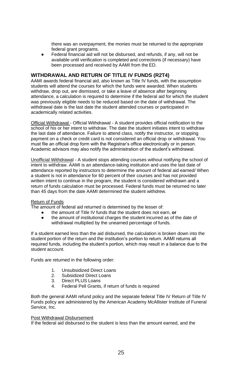there was an overpayment, the monies must be returned to the appropriate federal grant programs.

Federal financial aid will not be disbursed, and refunds, if any, will not be available until verification is completed and corrections (if necessary) have been processed and received by AAMI from the ED.

#### **WITHDRAWAL AND RETURN OF TITLE IV FUNDS (R2T4)**

AAMI awards federal financial aid, also known as Title IV funds, with the assumption students will attend the courses for which the funds were awarded. When students withdraw, drop out, are dismissed, or take a leave of absence after beginning attendance, a calculation is required to determine if the federal aid for which the student was previously eligible needs to be reduced based on the date of withdrawal. The withdrawal date is the last date the student attended courses or participated in academically related activities.

Official Withdrawal - Official Withdrawal - A student provides official notification to the school of his or her intent to withdraw. The date the student initiates intent to withdraw the last date of attendance. Failure to attend class, notify the instructor, or stopping payment on a check or credit card is not considered an official drop or withdrawal. You must file an official drop form with the Registrar's office electronically or in person. Academic advisors may also notify the administration of the student's withdrawal.

Unofficial Withdrawal - A student stops attending courses without notifying the school of intent to withdraw. AAMI is an attendance-taking institution and uses the last date of attendance reported by instructors to determine the amount of federal aid earned/ When a student is not in attendance for 60 percent of their courses and has not provided written intent to continue in the program, the student is considered withdrawn and a return of funds calculation must be processed. Federal funds must be returned no later than 45 days from the date AAMI determined the student withdrew.

#### Return of Funds

The amount of federal aid returned is determined by the lesser of:

- the amount of Title IV funds that the student does not earn, **or**
- the amount of institutional charges the student incurred as of the date of withdrawal multiplied by the unearned percentage of funds.

If a student earned less than the aid disbursed, the calculation is broken down into the student portion of the return and the institution's portion to return. AAMI returns all required funds, including the student's portion, which may result in a balance due to the student account.

Funds are returned in the following order:

- 1. Unsubsidized Direct Loans<br>2. Subsidized Direct Loans
- Subsidized Direct Loans
- 3. Direct PLUS Loans
- 4. Federal Pell Grants, if return of funds is required

Both the general AAMI refund policy and the separate federal Title IV Return of Title IV Funds policy are administered by the American Academy McAllister Institute of Funeral Service, Inc.

#### Post Withdrawal Disbursement

If the federal aid disbursed to the student is less than the amount earned, and the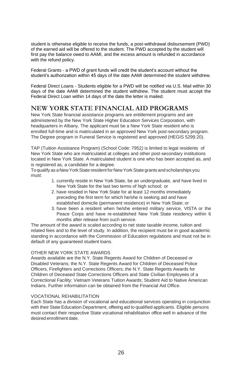student is otherwise eligible to receive the funds, a post-withdrawal disbursement (PWD) of the earned aid will be offered to the student. The PWD accepted by the student will first pay the balance owed to AAMI, and the excess amount is refunded in accordance with the refund policy.

Federal Grants - a PWD of grant funds will credit the student's account without the student's authorization within 45 days of the date AAMI determined the student withdrew.

Federal Direct Loans - Students eligible for a PWD will be notified via U.S. Mail within 30 days of the date AAMI determined the student withdrew. The student must accept the Federal Direct Loan within 14 days of the date the letter is mailed.

### **NEW YORK STATE FINANCIAL AID PROGRAMS**

New York State financial assistance programs are entitlement programs and are administered by the New York State Higher Education Services Corporation, with headquarters in Albany. The applicant must be a New York State resident who is enrolled full-time and is matriculated in an approved New York post-secondary program. The Degree program in Funeral Service is registered and approved (HEGIS 5299.20).

TAP (Tuition Assistance Program) (School Code: 7952*)* is limited to legal residents of New York State who are matriculated at colleges and other post-secondary institutions located in New York State. A matriculated student is one who has been accepted as, and is registered as, a candidate for a degree.

Toqualify as aNewYorkState resident forNewYorkState grants andscholarships you must:

- 1. currently reside in New York State, be an undergraduate, and have lived in New York State for the last two terms of high school; or
- 2. have resided in New York State for at least 12 months immediately preceding the first term for which he/she is seeking aid and have established domicile (permanent residence) in New York State; or
- 3. have been a resident when he/she entered military service, VISTA or the Peace Corps and have re-established New York State residency within 6 months after release from such service.

The amount of the award is scaled according to net state taxable income, tuition and related fees and to the level of study. In addition, the recipient must be in good academic standing in accordance with the Commission of Education regulations and must not be in default of any guaranteed student loans.

#### OTHER NEW YORK STATE AWARDS

Awards available are the N.Y. State Regents Award for Children of Deceased or Disabled Veterans; the N.Y. State Regents Award for Children of Deceased Police Officers, Firefighters and Corrections Officers; the N.Y. State Regents Awards for Children of Deceased State Corrections Officers and State Civilian Employees of a Correctional Facility; Vietnam Veterans Tuition Awards; Student Aid to Native American Indians. Further information can be obtained from the Financial Aid Office.

#### VOCATIONAL REHABILITATION

Each State has a division of vocational and educational services operating in conjunction with their State Education Department, offering aid to qualified applicants. Eligible persons must contact their respective State vocational rehabilitation office well in advance of the desired enrollment date.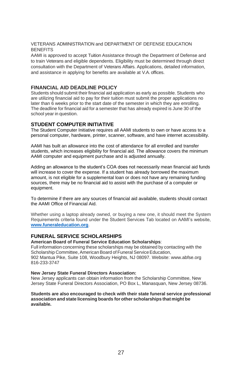#### VETERANS ADMINISTRATION and DEPARTMENT OF DEFENSE EDUCATION **BENEFITS**

AAMI is approved to accept Tuition Assistance through the Department of Defense and to train Veterans and eligible dependents. Eligibility must be determined through direct consultation with the Department of Veterans Affairs. Applications, detailed information, and assistance in applying for benefits are available at V.A. offices.

#### **FINANCIAL AID DEADLINE POLICY**

Students should submit their financial aid application as early as possible. Students who are utilizing financial aid to pay for their tuition must submit the proper applications no later than 6 weeks prior to the start date of the semester in which they are enrolling. The deadline for financial aid for a semester that has already expired is June 30 of the school year in question.

#### **STUDENT COMPUTER INITIATIVE**

The Student Computer Initiative requires all AAMI students to own or have access to a personal computer, hardware, printer, scanner, software, and have internet accessibility.

AAMI has built an allowance into the cost of attendance for all enrolled and transfer students, which increases eligibility for financial aid. The allowance covers the minimum AAMI computer and equipment purchase and is adjusted annually.

Adding an allowance to the student's COA does not necessarily mean financial aid funds will increase to cover the expense. If a student has already borrowed the maximum amount, is not eligible for a supplemental loan or does not have any remaining funding sources, there may be no financial aid to assist with the purchase of a computer or equipment.

To determine if there are any sources of financial aid available, students should contact the AAMI Office of Financial Aid.

Whether using a laptop already owned, or buying a new one, it should meet the System Requirements criteria found under the Student Services Tab located on AAMI's website, **[www.funeraleducation.org](http://www.funeraleducation.org/)**.

#### **FUNERAL SERVICE SCHOLARSHIPS**

**American Board of Funeral Service Education Scholarships**:

Full information concerning these scholarships may be obtained by contacting with the Scholarship Committee, American Board of Funeral Service Education, 902 Mantua Pike, Suite 108, Woodbury Heights, NJ 08097. Websit[e:](http://www.abfse.org/) [www.abfse.org](http://www.abfse.org/)  816-233-3747

#### **New Jersey State Funeral Directors Association:**

New Jersey applicants can obtain information from the Scholarship Committee, New Jersey State Funeral Directors Association, PO Box L, Manasquan, New Jersey 08736.

#### **Students are also encouraged to check with their state funeral service professional association and state licensing boards for other scholarships that might be available.**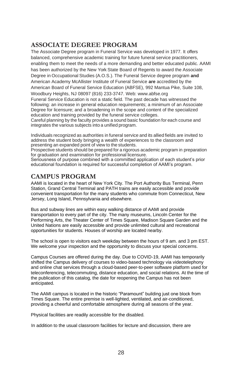### **ASSOCIATE DEGREE PROGRAM**

The Associate Degree program in Funeral Service was developed in 1977. It offers balanced, comprehensive academic training for future funeral service practitioners, enabling them to meet the needs of a more demanding and better educated public. AAMI has been authorized by the New York State Board of Regents to award the Associate Degree in Occupational Studies (A.O.S.). The Funeral Service degree program **and**  American Academy McAllister Institute of Funeral Service **are** accredited by the American Board of Funeral Service Education (ABFSE), 992 Mantua Pike, Suite 108, Woodbury Heights, NJ 08097 (816) 233-3747. We[b: www.abfse.org](http://www.abfse.org/) Funeral Service Education is not a static field. The past decade has witnessed the following: an increase in general education requirements; a minimum of an Associate Degree for licensure; and a broadening in the scope and content of the specialized education and training provided by the funeral service colleges. Careful planning by the faculty provides a sound basic foundation for each course and integrates the various subjects into a unified program.

Individuals recognized as authorities in funeral service and its allied fields are invited to address the student body bringing a wealth of experiences to the classroom and presenting an expanded point of view to the students.

Prospective students should be prepared for a rigorous academic program in preparation for graduation and examination for professional licensure.

Seriousness of purpose combined with a committed application of each student's prior educational foundation is required for successful completion of AAMI's program.

### **CAMPUS PROGRAM**

AAMI is located in the heart of New York City. The Port Authority Bus Terminal, Penn Station, Grand Central Terminal and PATH trains are easily accessible and provide convenient transportation for the many students who commute from Connecticut, New Jersey, Long Island, Pennsylvania and elsewhere.

Bus and subway lines are within easy walking distance of AAMI and provide transportation to every part of the city. The many museums, Lincoln Center for the Performing Arts, the Theater Center of Times Square, Madison Square Garden and the United Nations are easily accessible and provide unlimited cultural and recreational opportunities for students. Houses of worship are located nearby.

The school is open to visitors each weekday between the hours of 9 am. and 3 pm EST. We welcome your inspection and the opportunity to discuss your special concerns.

Campus Courses are offered during the day. Due to COVID-19, AAMI has temporarily shifted the Campus delivery of courses to video-based technology via videotelephony and online chat services through a cloud-based peer-to-peer software platform used for teleconferencing, telecommuting, distance education, and social relations. At the time of the publication of this catalog, the date for reopening the Campus has not been anticipated.

The AAMI campus is located in the historic "Paramount" building just one block from Times Square. The entire premise is well-lighted, ventilated, and air-conditioned, providing a cheerful and comfortable atmosphere during all seasons of the year.

Physical facilities are readily accessible for the disabled.

In addition to the usual classroom facilities for lecture and discussion, there are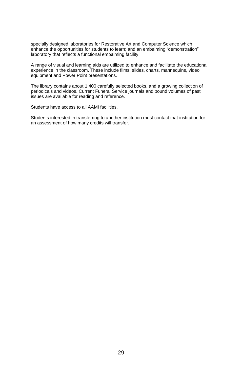specially designed laboratories for Restorative Art and Computer Science which enhance the opportunities for students to learn; and an embalming "demonstration" laboratory that reflects a functional embalming facility.

A range of visual and learning aids are utilized to enhance and facilitate the educational experience in the classroom. These include films, slides, charts, mannequins, video equipment and Power Point presentations.

The library contains about 1,400 carefully selected books, and a growing collection of periodicals and videos. Current Funeral Service journals and bound volumes of past issues are available for reading and reference.

Students have access to all AAMI facilities.

Students interested in transferring to another institution must contact that institution for an assessment of how many credits will transfer.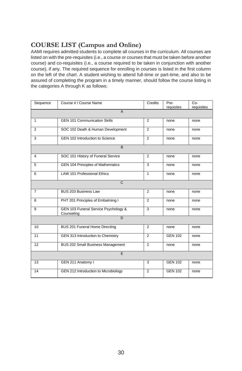### <span id="page-33-0"></span>**COURSE LIST (Campus and Online)**

AAMI requires admitted students to complete all courses in the curriculum. All courses are listed on with the pre-requisites (i.e., a course or courses that must be taken before another course) and co-requisites (i.e., a course required to be taken in conjunction with another course), if any. The required sequence for enrolling in courses is listed in the first column on the left of the chart. A student wishing to attend full-time or part-time, and also to be assured of completing the program in a timely manner, should follow the course listing in the categories A through K as follows:

<span id="page-33-1"></span>

| Sequence       | Course # / Course Name                             | Credits        | Pre-<br>requisites | $Co-$<br>requisites |  |  |  |
|----------------|----------------------------------------------------|----------------|--------------------|---------------------|--|--|--|
| $\overline{A}$ |                                                    |                |                    |                     |  |  |  |
| $\mathbf{1}$   | <b>GEN 101 Communication Skills</b>                | $\overline{2}$ | none               | none                |  |  |  |
| 2              | SOC 102 Death & Human Development                  | 2              | none               | none                |  |  |  |
| 3              | GEN 102 Introduction to Science                    | $\overline{2}$ | none               | none                |  |  |  |
|                | B                                                  |                |                    |                     |  |  |  |
| $\overline{4}$ | SOC 101 History of Funeral Service                 | $\overline{2}$ | none               | none                |  |  |  |
| 5              | <b>GEN 104 Principles of Mathematics</b>           | 3              | none               | none                |  |  |  |
| 6              | <b>LAW 101 Professional Ethics</b>                 | $\mathbf{1}$   | none               | none                |  |  |  |
| $\mathsf{C}$   |                                                    |                |                    |                     |  |  |  |
| $\overline{7}$ | <b>BUS 203 Business Law</b>                        | $\overline{2}$ | none               | none                |  |  |  |
| 8              | PHT 201 Principles of Embalming I                  | $\overline{2}$ | none               | none                |  |  |  |
| 9              | GEN 103 Funeral Service Psychology &<br>Counseling | 3              | none               | none                |  |  |  |
| $\overline{D}$ |                                                    |                |                    |                     |  |  |  |
| 10             | BUS 201 Funeral Home Directing                     | $\overline{2}$ | none               | none                |  |  |  |
| 11             | GEN 313 Introduction to Chemistry                  | $\overline{2}$ | <b>GEN 102</b>     | none                |  |  |  |
| 12             | BUS 202 Small Business Management                  | $\overline{2}$ | none               | none                |  |  |  |
| E              |                                                    |                |                    |                     |  |  |  |
| 13             | GEN 211 Anatomy I                                  | 3              | <b>GEN 102</b>     | none                |  |  |  |
| 14             | GEN 212 Introduction to Microbiology               | $\overline{2}$ | <b>GEN 102</b>     | none                |  |  |  |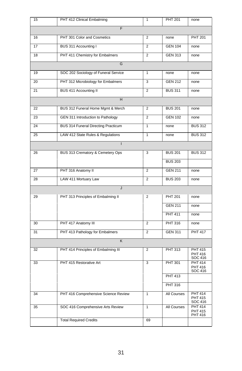| 15 | PHT 412 Clinical Embalming           | 1              | <b>PHT 201</b> | none                                 |  |  |
|----|--------------------------------------|----------------|----------------|--------------------------------------|--|--|
| F  |                                      |                |                |                                      |  |  |
| 16 | PHT 301 Color and Cosmetics          | 2              | none           | <b>PHT 201</b>                       |  |  |
| 17 | BUS 311 Accounting I                 | $\overline{2}$ | <b>GEN 104</b> | none                                 |  |  |
| 18 | PHT 411 Chemistry for Embalmers      | $\overline{2}$ | <b>GEN 313</b> | none                                 |  |  |
|    | G                                    |                |                |                                      |  |  |
| 19 | SOC 202 Sociology of Funeral Service | $\mathbf{1}$   | none           | none                                 |  |  |
| 20 | PHT 312 Microbiology for Embalmers   | 3              | <b>GEN 212</b> | none                                 |  |  |
| 21 | BUS 411 Accounting II                | 2              | <b>BUS 311</b> | none                                 |  |  |
|    | H                                    |                |                |                                      |  |  |
| 22 | BUS 312 Funeral Home Mgmt & Merch    | $\overline{2}$ | <b>BUS 201</b> | none                                 |  |  |
| 23 | GEN 311 Introduction to Pathology    | 2              | <b>GEN 102</b> | none                                 |  |  |
| 24 | BUS 314 Funeral Directing Practicum  | $\mathbf{1}$   | none           | <b>BUS 312</b>                       |  |  |
| 25 | LAW 412 State Rules & Regulations    | 1              | none           | <b>BUS 312</b>                       |  |  |
|    |                                      |                |                |                                      |  |  |
| 26 | BUS 313 Crematory & Cemetery Ops     | 3              | <b>BUS 201</b> | <b>BUS 312</b>                       |  |  |
|    |                                      |                | <b>BUS 203</b> |                                      |  |  |
| 27 | PHT 316 Anatomy II                   | $\overline{2}$ | <b>GEN 211</b> | none                                 |  |  |
| 28 | LAW 411 Mortuary Law                 | 2              | <b>BUS 203</b> | none                                 |  |  |
|    | J                                    |                |                |                                      |  |  |
| 29 | PHT 313 Principles of Embalming II   | 2              | <b>PHT 201</b> | none                                 |  |  |
|    |                                      |                | <b>GEN 211</b> | none                                 |  |  |
|    |                                      |                | <b>PHT 411</b> | none                                 |  |  |
| 30 | PHT 417 Anatomy III                  | $\overline{2}$ | PHT 316        | none                                 |  |  |
| 31 | PHT 413 Pathology for Embalmers      | $\overline{2}$ | <b>GEN 311</b> | <b>PHT 417</b>                       |  |  |
| K  |                                      |                |                |                                      |  |  |
| 32 | PHT 414 Principles of Embalming III  | $\overline{2}$ | PHT 313        | <b>PHT 415</b><br>PHT 416<br>SOC 416 |  |  |
| 33 | PHT 415 Restorative Art              | 3              | PHT 301        | <b>PHT 414</b><br>PHT 416<br>SOC 416 |  |  |
|    |                                      |                | PHT 413        |                                      |  |  |
|    |                                      |                | <b>PHT 316</b> |                                      |  |  |
| 34 | PHT 416 Comprehensive Science Review | 1              | All Courses    | PHT 414<br><b>PHT 415</b><br>SOC 416 |  |  |
| 35 | SOC 416 Comprehensive Arts Review    | $\mathbf{1}$   | All Courses    | PHT 414<br><b>PHT 415</b><br>PHT 416 |  |  |
|    | <b>Total Required Credits</b>        | 69             |                |                                      |  |  |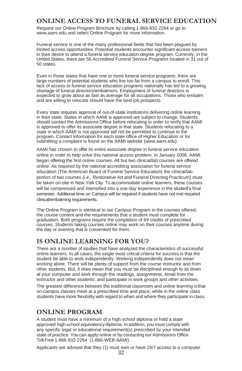### **ONLINE ACCESS TO FUNERAL SERVICE EDUCATION**

Request our Online Program Brochure by calling 1-866-932-2264 or go [to](http://www.aami.edu/) [www.aami.edu a](http://www.aami.edu/)nd select Online Program for more information.

Funeral service is one of the many professional fields that has been plagued by limited access opportunities. Potential students encounter significant access barriers in their desire to attend a funeral service education degree program. Currently, in the United States, there are 56 Accredited Funeral Service Programs located in 31 out of 50 states.

Even in those states that have one or more funeral service programs, there are large numbers of potential students who live too far from a campus to enroll. This lack of access to funeral service education programs nationally has led to a growing shortage of funeral directors/embalmers. Employment of funeral directors is expected to grow about as fast as average for all occupations. Those who embalm and are willing to relocate should have the best job prospects.

Every state requires approval of out-of-state institutions delivering online learning in their state. States in which AAMI is approved are subject to change. Students should contact the Admissions Office before relocating in order to verify that AAMI is approved to offer its associate degree in that state. Students relocating to a state in which AAMI is not approved will not be permitted to continue in the program. Contact information for each state office of Higher Education or for submitting a complaint is found on the AAMI website (www.aami.edu).

AAMI has chosen to offer its entire associate degree in funeral service education online in order to help solve this national access problem. In January 2006, AAMI began offering the first online courses. All but two clinical/lab courses are offered online. As required by the national accrediting association for funeral service education (The American Board of Funeral Service Education) the clinical/lab portion of two courses (i.e., Restorative Art and Funeral Directing Practicum) must be taken on-site in New York City. To accommodate online learners, these courses will be compressed and intensified into a one-day experience in the student's final semester. Additional time on Campus will be required if students have not met required clinical/embalming requirements.

The Online Program is identical to our Campus Program in the courses offered, the course content and the requirements that a student must complete for graduation. Both programs require the completion of 69 credits of prescribed courses. Students taking courses online may work on their courses anytime during the day or evening that is convenient for them.

### **IS ONLINE LEARNING FOR YOU?**

There are a number of studies that have analyzed the characteristics of successful online learners. In all cases, the single most critical criteria for success is that the student be able to work independently. Working independently does not mean working alone. There will be plenty of support from the course instructor and from other students. But, it does mean that you must be disciplined enough to sit down at your computer and work through the readings, assignments, email from the instructor and other students, and participate in work groups and other activities. The greatest difference between the traditional classroom and online learning isthat on-campus classes meet at a prescribed time and place, while in the online class students have more flexibility with regard to when and where they participate in class.

### <span id="page-35-0"></span>**ONLINE PROGRAM**

A student must have a minimum of a high school diploma or hold a state approved high school equivalency diploma. In addition, you must comply with any specific legal or educational requirement(s) prescribed by your intended state of practice. You can apply online or by contacting our Admissions Office Toll-Free 1-866-932-2264 (1-866-WEB-AAMI).

Applicants are advised that they (1) must own or have 24/7 access to a computer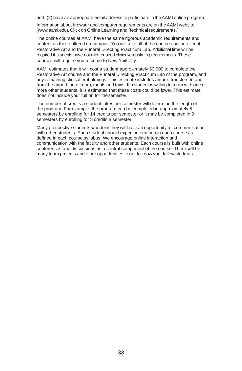and (2) have an appropriate email address to participate in theAAMI online program.

Information about browser and computer requirements are on theAAMI website (www.aami.edu). Click on Online Learning and "technical requirements."

The online courses at AAMI have the same rigorous academic requirements and content as those offered on-campus. You will take all of the courses online except Restorative Art and the Funeral Directing Practicum Lab. Additional time will be required if students have not met required clinical/embalming requirements. These courses will require you to come to New York City.

AAMI estimates that it will cost a student approximately \$3,000 to complete the Restorative Art course and the Funeral Directing Practicum Lab of the program, and any remaining clinical embalmings. This estimate includes airfare, transfers to and from the airport, hotel room, meals and taxis. If a student is willing to room with one or more other students, it is estimated that these costs could be lower. This estimate does not include your tuition for thesemester.

The number of credits a student takes per semester will determine the length of the program. For example, the program can be completed in approximately 5 semesters by enrolling for 14 credits per semester or it may be completed in 9 semesters by enrolling for 8 credits a semester.

Many prospective students wonder if they will have an opportunity for communication with other students. Each student should expect interaction in each course as defined in each course syllabus. We encourage online interaction and communication with the faculty and other students. Each course is built with online conferences and discussions as a central component of the course. There will be many team projects and other opportunities to get to know your fellow students.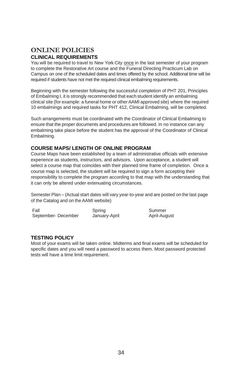### **ONLINE POLICIES CLINICAL REQUIREMENTS**

You will be required to travel to New York City once in the last semester of your program to complete the Restorative Art course and the Funeral Directing Practicum Lab on Campus on one of the scheduled dates and times offered by the school. Additional time will be required if students have not met the required clinical embalming requirements.

Beginning with the semester following the successful completion of PHT 201, Principles of Embalming I, it is strongly recommended that each student identify an embalming clinical site (for example: a funeral home or otherAAMI approved site) where the required 10 embalmings and required tasks for PHT 412, Clinical Embalming, will be completed.

Such arrangements must be coordinated with the Coordinator of Clinical Embalming to ensure that the proper documents and procedures are followed. In no instance can any embalming take place before the student has the approval of the Coordinator of Clinical Embalming.

#### **COURSE MAPS/ LENGTH OF ONLINE PROGRAM**

Course Maps have been established by a team of administrative officials with extensive experience as students, instructors, and advisors. Upon acceptance, a student will select a course map that coincides with their planned time frame of completion. Once a course map is selected, the student will be required to sign a form accepting their responsibility to complete the program according to that map with the understanding that it can only be altered under extenuating circumstances.

Semester Plan – (Actual start dates will vary year-to-year and are posted on the last page of the Catalog and on theAAMI website)

| Fall               | Spring        | Summer       |
|--------------------|---------------|--------------|
| September-December | January-April | April-August |

#### **TESTING POLICY**

Most of your exams will be taken online. Midterms and final exams will be scheduled for specific dates and you will need a password to access them. Most password protected tests will have a time limit requirement.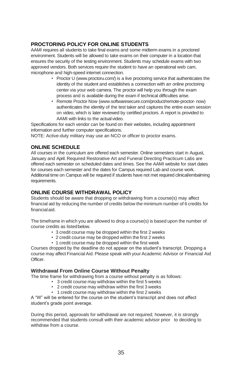#### **PROCTORING POLICY FOR ONLINE STUDENTS**

AAMI requires all students to take final exams and some midterm exams in a proctored environment. Students will be allowed to take exams on their computer in a location that ensures the security of the testing environment. Students may schedule exams with two approved vendors. Both services require the student to have an operational web cam, microphone and high-speed internet connection.

- Proctor [U \(www.proctoru.com/\) is](http://www.proctoru.com/)) a live proctoring service that authenticates the identity of the student and establishes a connection with an online proctoring center via your web camera. The proctor will help you through the exam process and is available during the exam if technical difficulties arise.
- Remote Proctor Now [\(www.softwaresecure.com/product/remote-proctor-](http://www.softwaresecure.com/product/remote-proctor-now)) [now\)](http://www.softwaresecure.com/product/remote-proctor-now))  authenticates the identity of the test taker and captures the entire exam session on video, which is later reviewed by certified proctors. A report is provided to AAMI with links to the actual video.

Specifications for each vendor can be found on their websites, including appointment information and further computer specifications.

NOTE: Active-duty military may use an NCO or officer to proctor exams.

#### **ONLINE SCHEDULE**

All courses in the curriculum are offered each semester. Online semesters start in August, January and April. Required Restorative Art and Funeral Directing Practicum Labs are offered each semester on scheduled dates and times. See the AAMI website for start dates for courses each semester and the dates for Campus required Lab and course work. Additional time on Campus will be required if students have not met required clinical/embalming requirements.

#### **ONLINE COURSE WITHDRAWAL POLICY**

Students should be aware that dropping or withdrawing from a course(s) may affect financial aid by reducing the number of credits below the minimum number of 6 credits for financialaid.

The timeframe in which you are allowed to drop a course(s) is based upon the number of course credits as listedbelow.

- 3 credit course may be dropped within the first 2 weeks
- 2 credit course may be dropped within the first 2 weeks
- 1 credit course may be dropped within the first week

Courses dropped by the deadline do not appear on the student's transcript. Dropping a course may affect Financial Aid. Please speak with your Academic Advisor or Financial Aid Officer.

#### **Withdrawal From Online Course Without Penalty**

The time frame for withdrawing from a course without penalty is as follows:

- 3 credit course may withdraw within the first 5 weeks
- 2 credit course may withdraw within the first 3 weeks
- 1 credit course may withdraw within the first 2 weeks

A "W" will be entered for the course on the student's transcript and does not affect student's grade point average.

During this period, approvals for withdrawal are not required; however, it is strongly recommended that students consult with their academic advisor prior to deciding to withdraw from a course.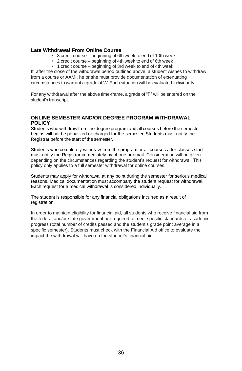#### **Late Withdrawal From Online Course**

- 3 credit course beginning of 6th week to end of 10th week
- 2 credit course beginning of 4th week to end of 6th week
- 1 credit course beginning of 3rd week to end of 4th week

If, after the close of the withdrawal period outlined above, a student wishes to withdraw from a course or AAMI, he or she must provide documentation of extenuating circumstances to warrant a grade of W.Each situation will be evaluated individually.

For any withdrawal after the above time-frame, a grade of "F" will be entered on the student's transcript.

#### **ONLINE SEMESTER AND/OR DEGREE PROGRAM WITHDRAWAL POLICY**

Students who withdraw from the degree program and all courses before the semester begins will not be penalized or charged for the semester. Students must notify the Registrar before the start of the semester.

Students who completely withdraw from the program or all courses after classes start must notify the Registrar immediately by phone or email. Consideration will be given depending on the circumstances regarding the student's request for withdrawal. This policy only applies to a full semester withdrawal for online courses.

Students may apply for withdrawal at any point during the semester for serious medical reasons. Medical documentation must accompany the student request for withdrawal. Each request for a medical withdrawal is considered individually.

The student is responsible for any financial obligations incurred as a result of registration.

In order to maintain eligibility for financial aid, all students who receive financial aid from the federal and/or state government are required to meet specific standards of academic progress (total number of credits passed and the student's grade point average in a specific semester). Students must check with the Financial Aid office to evaluate the impact the withdrawal will have on the student's financial aid.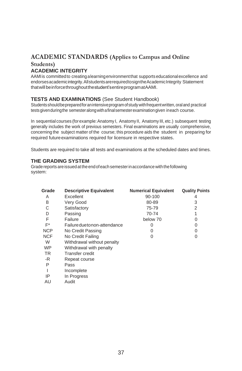### **ACADEMIC STANDARDS (Applies to Campus and Online Students)**

#### <span id="page-40-0"></span>**ACADEMIC INTEGRITY**

AAMIis committedto creatingalearningenvironmentthat supportseducationalexcellence and endorsesacademicintegrity.AllstudentsarerequiredtosigntheAcademicIntegrity Statement thatwillbeinforcethroughoutthestudent'sentireprogramatAAMI.

#### **TESTS AND EXAMINATIONS** (See Student Handbook)

Students should be prepared for an intensive program of study with frequent written, oral and practical testsgivenduringthe semesteralongwithafinalsemesterexaminationgiven ineach course.

In sequential courses (forexample:Anatomy I, Anatomy II, Anatomy III, etc.) subsequent testing generally includes the work of previous semesters. Final examinations are usually comprehensive, concerning the subject matter of the course; this procedure aids the student in preparing for required future examinations required for licensure in respective states.

Students are required to take all tests and examinations at the scheduled dates and times.

#### **THE GRADING SYSTEM**

Gradereports areissuedattheendofeachsemesterinaccordancewiththefollowing system:

| Grade      | <b>Descriptive Equivalent</b> | <b>Numerical Equivalent</b> | <b>Quality Points</b> |
|------------|-------------------------------|-----------------------------|-----------------------|
| A          | Excellent                     | 90-100                      | 4                     |
| В          | Very Good                     | 80-89                       | 3                     |
| С          | Satisfactory                  | 75-79                       | 2                     |
| D          | Passing                       | 70-74                       |                       |
| F          | Failure                       | below 70                    | $\Omega$              |
| F*         | Failure duetonon-attendance   | 0                           | 0                     |
| <b>NCP</b> | No Credit Passing             | O                           | 0                     |
| <b>NCF</b> | No Credit Failing             | 0                           | 0                     |
| W          | Withdrawal without penalty    |                             |                       |
| <b>WP</b>  | Withdrawal with penalty       |                             |                       |
| <b>TR</b>  | Transfer credit               |                             |                       |
| -R         | Repeat course                 |                             |                       |
| Ρ          | Pass                          |                             |                       |
|            | Incomplete                    |                             |                       |
| IP         | In Progress                   |                             |                       |
|            |                               |                             |                       |

AU Audit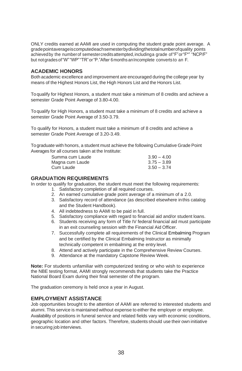ONLY credits earned at AAMI are used in computing the student grade point average. A gradepointaverageiscomputedeachsemesterbydividingthetotalnumberofquality points achievedby the numberof semestercreditsattempted,includinga grade of"F"or"F\*" "NCP/F" but notgradesof"W""WP""TR"or"P."After 6months anIncomplete converts to an F.

#### **ACADEMIC HONORS**

Both academic excellence and improvement are encouraged during the college year by means of the Highest Honors List, the High Honors List and the Honors List.

Toqualify for Highest Honors, a student must take a minimum of 8 credits and achieve a semester Grade Point Average of 3.80-4.00.

Toqualify for High Honors, a student must take a minimum of 8 credits and achieve a semester Grade Point Average of 3.50-3.79.

To qualify for Honors, a student must take a minimum of 8 credits and achieve a semester Grade Point Average of 3.20-3.49.

Tograduate with honors, a student must achieve the following Cumulative Grade Point Averages for all courses taken at the Institute:

| Summa cum Laude | $3.90 - 4.00$ |
|-----------------|---------------|
| Magna cum Laude | $3.75 - 3.89$ |
| Cum Laude       | $3.50 - 3.74$ |

#### <span id="page-41-0"></span>**GRADUATION REQUIREMENTS**

In order to qualify for graduation, the student must meet the following requirements:

- 1. Satisfactory completion of all required courses.
- 2. An earned cumulative grade point average of a minimum of a 2.0.
- 3. Satisfactory record of attendance (as described elsewhere inthis catalog and the Student Handbook).
- 4. All indebtedness to AAMI to be paid in full.
- 5. Satisfactory compliance with regard to financial aid and/or student loans.
- 6. Students receiving any form of Title IV federal financial aid must participate in an exit counseling session with the Financial Aid Officer.
- 7. Successfully complete all requirements of the Clinical Embalming Program and be certified by the Clinical Embalming Instructor as minimally technically competent in embalming at the entry level.
- 8. Attend and actively participate in the Comprehensive Review Courses.
- 9. Attendance at the mandatory Capstone Review Week.

**Note:** For students unfamiliar with computerized testing or who wish to experience the NBE testing format, AAMI strongly recommends that students take the Practice National Board Exam during their final semester of the program.

The graduation ceremony is held once a year in August.

#### **EMPLOYMENT ASSISTANCE**

Job opportunities brought to the attention of AAMI are referred to interested students and alumni. This service is maintained without expense to either the employer or employee. Availability of positions in funeral service and related fields vary with economic conditions, geographic location and other factors. Therefore, students should use their own initiative in securing job interviews.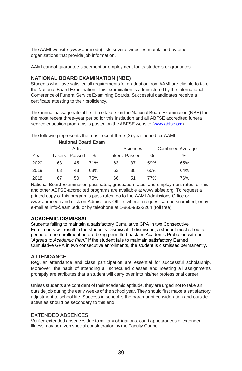The AAMI website (www.aami.edu) lists several websites maintained by other organizations that provide job information.

AAMI cannot guarantee placement or employment for its students or graduates.

#### **NATIONAL BOARD EXAMINATION (NBE)**

Students who have satisfied all requirements for graduation from AAMI are eligible to take the National Board Examination. This examination is administered by the International Conference of Funeral Service Examining Boards. Successful candidates receive a certificate attesting to their proficiency.

The annual passage rate of first-time takers on the National Board Examination (NBE) for the most recent three-year period for this institution and all ABFSE accredited funeral service education programs is posted on the ABFSE website [\(www.abfse.org\)](http://www.abfse.org/).

The following represents the most recent three (3) year period for AAMI.

|      |    | <b>National Board Exam</b> |      |    |                      |      |                         |
|------|----|----------------------------|------|----|----------------------|------|-------------------------|
|      |    | Arts                       |      |    | <b>Sciences</b>      |      | <b>Combined Average</b> |
| Year |    | Takers Passed              | $\%$ |    | <b>Takers Passed</b> | $\%$ | ℅                       |
| 2020 | 63 | 45                         | 71%  | 63 | 37                   | 59%  | 65%                     |
| 2019 | 63 | 43                         | 68%  | 63 | 38                   | 60%  | 64%                     |
| 2018 | 67 | 50                         | 75%  | 66 | 51                   | 77%  | 76%                     |

National Board Examination pass rates, graduation rates, and employment rates for this and other ABFSE-accredited programs are available [at www.abfse.org. T](http://www.abfse.org/)o request a printed copy of this program's pass rates, go to the AAMI Admissions Office or [www.aami.edu a](http://www.aami.edu/)nd click on Admissions Office, where a request can be submitted, or by e-mail [at info@aami.edu o](mailto:info@aami.edu)r by telephone at 1-866-932-2264 (toll free).

#### **ACADEMIC DISMISSAL**

Students failing to maintain a satisfactory Cumulative GPA in two Consecutive Enrollments will result in the student's Dismissal. If dismissed, a student must sit out a period of one enrollment before being permitted back on Academic Probation with an "*Agreed to Academic Plan*." If the student fails to maintain satisfactory Earned Cumulative GPA in two consecutive enrollments, the student is dismissed permanently.

#### **ATTENDANCE**

Regular attendance and class participation are essential for successful scholarship. Moreover, the habit of attending all scheduled classes and meeting all assignments promptly are attributes that a student will carry over into his/her professional career.

Unless students are confident of their academic aptitude, they are urged not to take an outside job during the early weeks of the school year. They should first make a satisfactory adjustment to school life. Success in school is the paramount consideration and outside activities should be secondary to this end.

#### EXTENDED ABSENCES

Verified extended absences due to military obligations, court appearances or extended illness may be given special consideration by the Faculty Council.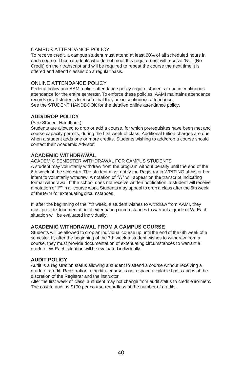#### CAMPUS ATTENDANCE POLICY

To receive credit, a campus student must attend at least 80% of all scheduled hours in each course. Those students who do not meet this requirement will receive "NC" (No Credit) on their transcript and will be required to repeat the course the next time it is offered and attend classes on a regular basis.

#### ONLINE ATTENDANCE POLICY

Federal policy and AAMI online attendance policy require students to be in continuous attendance for the entire semester. To enforce these policies, AAMI maintains attendance records on all students to ensure that they are in continuous attendance. See the STUDENT HANDBOOK for the detailed online attendance policy.

#### **ADD/DROP POLICY**

(See Student Handbook)

Students are allowed to drop or add a course, for which prerequisites have been met and course capacity permits, during the first week of class. Additional tuition charges are due when a student adds one or more credits. Students wishing to add/drop a course should contact their Academic Advisor.

#### **ACADEMIC WITHDRAWAL**

#### ACADEMIC SEMESTER WITHDRAWAL FOR CAMPUS STUDENTS

A student may voluntarily withdraw from the program without penalty until the end of the 6th week of the semester. The student must notify the Registrar in WRITING of his or her intent to voluntarily withdraw. A notation of "W" will appear on the transcript indicating formal withdrawal. If the school does not receive written notification, a student will receive a notation of "F" in all course work. Students may appeal to drop a class after the 6th week of the term for extenuating circumstances.

If, after the beginning of the 7th week, a student wishes to withdraw from AAMI, they must provide documentation of extenuating circumstances to warrant a grade of W. Each situation will be evaluated individually.

#### **ACADEMIC WITHDRAWAL FROM A CAMPUS COURSE**

Students will be allowed to drop an individual course up until the end of the 6th week of a semester. If, after the beginning of the 7th week a student wishes to withdraw from a course, they must provide documentation of extenuating circumstances to warrant a grade of W.Each situation will be evaluated individually.

#### **AUDIT POLICY**

Audit is a registration status allowing a student to attend a course without receiving a grade or credit. Registration to audit a course is on a space available basis and is at the discretion of the Registrar and the instructor.

After the first week of class, a student may not change from audit status to credit enrollment. The cost to audit is \$100 per course regardless of the number of credits.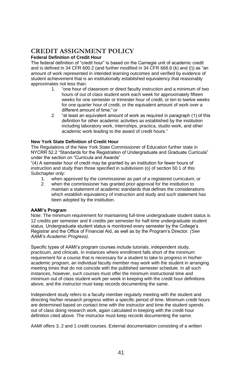### **CREDIT ASSIGNMENT POLICY**

#### **Federal Definition of Credit Hour**

The federal definition of "credit hour" is based on the Carnegie unit of academic credit and is defined in 34 CFR 600.2 (and further modified in 34 CFR 668.8 (k) and (l)) as "an amount of work represented in intended learning outcomes and verified by evidence of student achievement that is an institutionally established equivalency that reasonably approximates not less than:

- 1. "one hour of classroom or direct faculty instruction and a minimum of two hours of out of class student work each week for approximately fifteen weeks for one semester or trimester hour of credit, or ten to twelve weeks for one quarter hour of credit, or the equivalent amount of work over a different amount of time;" or
- 2. "at least an equivalent amount of work as required in paragraph (1) of this definition for other academic activities as established by the institution including laboratory work, internships, practica, studio work, and other academic work leading to the award of credit hours."

#### **New York State Definition of Credit Hour**

The Regulations of the New York State Commissioner of Education further state in NYCRR 52.2 "Standards for the Registration of Undergraduate and Graduate Curricula" under the section on "Curricula and Awards"

"(4) A semester hour of credit may be granted by an institution for fewer hours of instruction and study than those specified in subdivision (o) of section 50.1 of this Subchapter only:

- 1. when approved by the commissioner as part of a registered curriculum; or
- 2. when the commissioner has granted prior approval for the institution to maintain a statement of academic standards that defines the considerations which establish equivalency of instruction and study and such statement has been adopted by the institution.

#### **AAMI's Program**

Note: The minimum requirement for maintaining full-time undergraduate student status is 12 credits per semester and 6 credits per semester for half-time undergraduate student status. Undergraduate student status is monitored every semester by the College's Registrar and the Office of Financial Aid, as well as by the Program's Director. *(See AAMI's Academic Progress).*

Specific types of AAMI's program courses include tutorials, independent study, practicum, and clinicals. In instances where enrollment falls short of the minimum requirement for a course that is necessary for a student to take to progress in his/her academic program, an individual faculty member may work with the student in arranging meeting times that do not coincide with the published semester schedule. In all such instances, however, such courses must offer the minimum instructional time and minimum out of class student work per week in keeping with the credit hour definitions above, and the instructor must keep records documenting the same.

Independent study refers to a faculty member regularly meeting with the student and directing his/her research progress within a specific period of time. Minimum credit hours are determined based on contact time with the instructor and time the student spends out of class doing research work, again calculated in keeping with the credit hour definition cited above. The instructor must keep records documenting the same.

AAMI offers 3, 2 and 1 credit courses. External documentation consisting of a written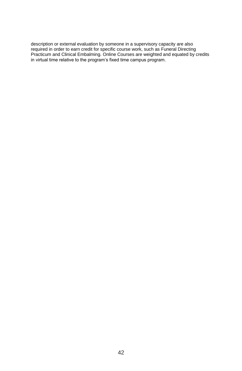description or external evaluation by someone in a supervisory capacity are also required in order to earn credit for specific course work, such as Funeral Directing Practicum and Clinical Embalming. Online Courses are weighted and equated by credits in virtual time relative to the program's fixed time campus program.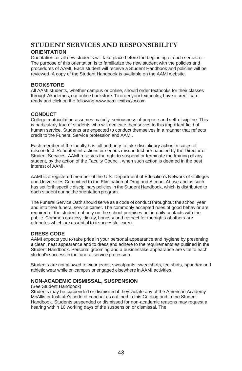### <span id="page-46-0"></span>**STUDENT SERVICES AND RESPONSIBILITY ORIENTATION**

<span id="page-46-1"></span>Orientation for all new students will take place before the beginning of each semester. The purpose of this orientation is to familiarize the new student with the policies and procedures of AAMI. Each student will receive a Student Handbook and policies will be reviewed. A copy of the Student Handbook is available on the AAMI website.

#### **BOOKSTORE**

All AAMI students, whether campus or online, should order textbooks for their classes through Akademos, our online bookstore. Toorder your textbooks, have a credit card ready and click on the followin[g:www.aami.textbookx.com](http://www.aami.textbookx.com/)

#### <span id="page-46-2"></span>**CONDUCT**

College matriculation assumes maturity, seriousness of purpose and self-discipline. This is particularly true of students who will dedicate themselves to this important field of human service. Students are expected to conduct themselves in a manner that reflects credit to the Funeral Service profession and AAMI.

Each member of the faculty has full authority to take disciplinary action in cases of misconduct. Repeated infractions or serious misconduct are handled by the Director of Student Services. AAMI reserves the right to suspend or terminate the training of any student, by the action of the Faculty Council, when such action is deemed in the best interest of AAMI.

AAMI is a registered member of the U.S. Department of Education's Network of Colleges and Universities Committed to the Elimination of Drug and Alcohol Abuse and as such has set forth specific disciplinary policies in the Student Handbook, which is distributed to each student during the orientation program.

The Funeral Service Oath should serve as a code of conduct throughout the school year and into their funeral service career. The commonly accepted rules of good behavior are required of the student not only on the school premises but in daily contacts with the public. Common courtesy, dignity, honesty and respect for the rights of others are attributes which are essential to a successful career.

#### <span id="page-46-3"></span>**DRESS CODE**

AAMI expects you to take pride in your personal appearance and hygiene by presenting a clean, neat appearance and to dress and adhere to the requirements as outlined in the Student Handbook. Personal grooming and a businesslike appearance are vital to each student's success in the funeral service profession.

Students are not allowed to wear jeans, sweatpants, sweatshirts, tee shirts, spandex and athletic wear while on campus or engaged elsewhere inAAMI activities.

#### **NON-ACADEMIC DISMISSAL, SUSPENSION**

#### (See Student Handbook)

Students may be suspended or dismissed if they violate any of the American Academy McAllister Institute's code of conduct as outlined in this Catalog and in the Student Handbook. Students suspended or dismissed for non-academic reasons may request a hearing within 10 working days of the suspension or dismissal. The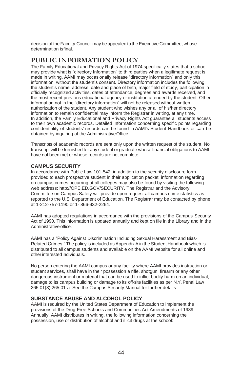decision of the Faculty Council may be appealed to the Executive Committee, whose determination isfinal.

### <span id="page-47-1"></span><span id="page-47-0"></span>**PUBLIC INFORMATION POLICY**

The Family Educational and Privacy Rights Act of 1974 specifically states that a school may provide what is "directory Information" to third parties when a legitimate request is made in writing. AAMI may occasionally release "directory information" and only this information, without the student's consent. Directory information includes the following: the student's name, address, date and place of birth, major field of study, participation in officially recognized activities, dates of attendance, degrees and awards received, and the most recent previous educational agency or institution attended by the student. Other information not in the "directory information" will not be released without written authorization of the student. Any student who wishes any or all of his/her directory information to remain confidential may inform the Registrar in writing, at any time. In addition, the Family Educational and Privacy Rights Act guarantee all students access to their own academic records. Detailed information concerning specific points regarding confidentiality of students' records can be found in AAMI's Student Handbook or can be obtained by inquiring at the AdministrativeOffice.

Transcripts of academic records are sent only upon the written request of the student. No transcript will be furnished for any student or graduate whose financial obligations to AAMI have not been met or whose records are not complete.

#### <span id="page-47-2"></span>**CAMPUS SECURITY**

In accordance with Public Law 101-542, in addition to the security disclosure form provided to each prospective student in their application packet, information regarding on-campus crimes occurring at all colleges may also be found by visiting the following web addres[s: http://OPE.ED.GOV/SECURITY.](http://ope.ed.gov/SECURITY) The Registrar and the Advisory Committee on Campus Safety will provide upon request all campus crime statistics as reported to the U.S. Department of Education. The Registrar may be contacted by phone at 1-212-757-1190 or 1- 866-932-2264.

AAMI has adopted regulations in accordance with the provisions of the Campus Security Act of 1990. This information is updated annually and kept on file in the Library and in the Administrative office.

AAMI has a "Policy Against Discrimination Including Sexual Harassment and Bias-Related Crimes." The policy is included as Appendix Ain the Student Handbook which is distributed to all campus students and available on the AAMI website for all online and otherinterestedindividuals.

No person entering the AAMI campus or any facility where AAMI provides instruction or student services, shall have in their possession a rifle, shotgun, firearm or any other dangerous instrument or material that can be used to inflict bodily harm on an individual, damage to its campus building or damage to its off-site facilities as per N.Y. Penal Law 265.01(3).265.01-a. See the Campus Security Manual for further details.

#### **SUBSTANCE ABUSE AND ALCOHOL POLICY**

AAMI is required by the United States Department of Education to implement the provisions of the Drug-Free Schools and Communities Act Amendments of 1989. Annually, AAMI distributes in writing, the following information concerning the possession, use or distribution of alcohol and illicit drugs at the school: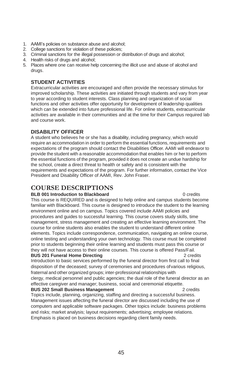- 1. AAMI's policies on substance abuse and alcohol;
- 2. College sanctions for violation of these policies;
- 3. Criminal sanctions for the illegal possession or distribution of drugs and alcohol;
- 4. Health risks of drugs and alcohol;
- 5. Places where one can receive help concerning the illicit use and abuse of alcohol and drugs.

#### <span id="page-48-0"></span>**STUDENT ACTIVITIES**

Extracurricular activities are encouraged and often provide the necessary stimulus for improved scholarship. These activities are initiated through students and vary from year to year according to student interests. Class planning and organization of social functions and other activities offer opportunity for development of leadership qualities which can be extended into future professional life. For online students, extracurricular activities are available in their communities and at the time for their Campus required lab and course work.

#### **DISABILITY OFFICER**

A student who believes he or she has a disability, including pregnancy, which would require an accommodation in order to perform the essential functions, requirements and expectations of the program should contact the Disabilities Officer. AAMI will endeavor to provide the student with a reasonable accommodation that enables him or her to perform the essential functions of the program, provided it does not create an undue hardship for the school, create a direct threat to health or safety and is consistent with the requirements and expectations of the program. For further information, contact the Vice President and Disability Officer of AAMI, Rev. John Fraser.

### <span id="page-48-1"></span>**COURSE DESCRIPTIONS**

#### **BLB 001 Introduction to Blackboard 1986 1986 1986 1986 1986 1986 1986 1986 1986 1986 1986 1986 1986 1986 1986 1986 1986 1986 1986 1986 1986 1986 1986 1986 1986 1986 19**

This course is REQUIRED and is designed to help online and campus students become familiar with Blackboard. This course is designed to introduce the student to the learning environment online and on campus. Topics covered include AAMI policies and procedures and guides to successful learning. This course covers study skills, time management, stress management and creating an effective learning environment. The course for online students also enables the student to understand different online elements. Topics include correspondence, communication, navigating an online course, online testing and understanding your own technology. This course must be completed prior to students beginning their online learning and students must pass this course or they will not have access to their online courses. This course is offered Pass/Fail. **BUS 201 Funeral Home Directing** 2 credits

Introduction to basic services performed by the funeral director from first call to final disposition of the deceased; survey of ceremonies and procedures ofvarious religious, fraternal and other organized groups; inter-professional relationships with

clergy, medical personnel and public agencies; the dual role of the funeral director as an effective caregiver and manager; business, social and ceremonial etiquette.

#### **BUS 202 Small Business Management** 2 credits

Topics include, planning, organizing, staffing and directing a successful business. Management issues affecting the funeral director are discussed including the use of computers and applicable software packages. Other topics include: business problems and risks; market analysis; layout requirements; advertising; employee relations. Emphasis is placed on business decisions regarding client family needs.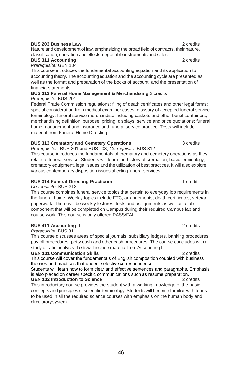#### **BUS 203 Business Law** 2 credits

Nature and development of law, emphasizing the broad field of contracts, their nature, classification, operation and effects; negotiable instruments and sales.

#### **BUS 311 Accounting I** 2 credits *Prerequisite:* GEN 104

This course introduces the fundamental accounting equation and its application to accounting theory. The accounting equation and the accounting cycle are presented as well as the format and preparation of the books of account, and the presentation of financialstatements.

#### **BUS 312 Funeral Home Management & Merchandising** 2 credits *Prerequisite*: BUS 201

Federal Trade Commission regulations; filing of death certificates and other legal forms; special consideration from medical examiner cases; glossary of accepted funeral service terminology; funeral service merchandise including caskets and other burial containers; merchandising definition, purpose, pricing, displays, service and price quotations; funeral home management and insurance and funeral service practice. Tests will include material from Funeral Home Directing.

#### **BUS 313 Crematory and Cemetery Operations** 3 credits

*Prerequisites*: BUS 201 and BUS 203; *Co-requisite*: BUS 312

This course introduces the fundamentals of crematory and cemetery operations as they relate to funeral service. Students will learn the history of cremation, basic terminology, crematory equipment, legal issues and the utilization of best practices. It will also explore various contemporary disposition issues affecting funeral services.

#### **BUS 314 Funeral Directing Practicum** 1 credit

*Co-requisite:* BUS 312

This course combines funeral service topics that pertain to everyday job requirements in the funeral home. Weekly topics include FTC, arrangements, death certificates, veteran paperwork. There will be weekly lectures, tests and assignments as well as a lab component that will be completed on Campus during their required Campus lab and course work. This course is only offered PASS/FAIL.

#### **BUS 411 Accounting II** 2 credits

#### *Prerequisite:* BUS 311

This course discusses areas of special journals, subsidiary ledgers, banking procedures, payroll procedures, petty cash and other cash procedures. The course concludes with a study of ratio analysis. Testswill include material from Accounting I.

#### **GEN 101 Communication Skills** 2 credits

This course will cover the fundamentals of English composition coupled with business theories and practices that underlie elective correspondence.

Students will learn how to form clear and effective sentences and paragraphs. Emphasis is also placed on career specific communications such as resume preparation. **GEN 102 Introduction to Science** 2 credits

This introductory course provides the student with a working knowledge of the basic concepts and principles of scientific terminology. Students will become familiar with terms to be used in all the required science courses with emphasis on the human body and circulatorysystem.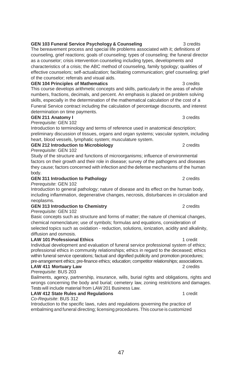#### **GEN 103 Funeral Service Psychology & Counseling** 3 credits

The bereavement process and special life problems associated with it; definitions of counseling, grief reactions; goals of counseling; types of counseling; the funeral director as a counselor; crisis intervention counseling including types, developments and characteristics of a crisis; the ABC method of counseling, family typology; qualities of effective counselors; self-actualization; facilitating communication; grief counseling; grief of the counselor; referrals and visual aids.

#### **GEN 104 Principles of Mathematics** 3 credits

This course develops arithmetic concepts and skills, particularly in the areas of whole numbers, fractions, decimals, and percent. An emphasis is placed on problem solving skills, especially in the determination of the mathematical calculation of the cost of a Funeral Service contract including the calculation of percentage discounts, and interest determination on time payments.

#### **GEN 211 Anatomy I** 3 credits

*Prerequisite:* GEN 102

Introduction to terminology and terms of reference used in anatomical description; preliminary discussion of tissues, organs and organ systems; vascular system, including heart, blood vessels, lymphatic system; musculature system.

**GEN 212 Introduction to Microbiology** 2 credits *Prerequisite*: GEN 102

Study of the structure and functions of microorganisms; influence of environmental factors on their growth and their role in disease; survey of the pathogens and diseases they cause; factors concerned with infection and the defense mechanisms of the human body.

#### **GEN 311 Introduction to Pathology** 2 credits

*Prerequisite*: GEN 102

Introduction to general pathology; nature of disease and its effect on the human body, including inflammation, degenerative changes, necrosis, disturbances in circulation and neoplasms.

#### **GEN 313 Introduction to Chemistry** 2 credits

*Prerequisite:* GEN 102

Basic concepts such as structure and forms of matter; the nature of chemical changes, chemical nomenclature; use of symbols; formulas and equations, consideration of selected topics such as oxidation - reduction, solutions, ionization, acidity and alkalinity, diffusion and osmosis.

#### **LAW 101 Professional Ethics** 1 credit

Individual development and evaluation of funeral service professional system of ethics; professional ethics in community relationships; ethics in regard to the deceased; ethics within funeral service operations; factual and dignified publicity and promotion procedures; pre-arrangement ethics; pre-finance ethics; education; competitor relationships; associations.

#### **LAW 411 Mortuary Law** 2 credits

*Prerequisite*: BUS 203 Bailments, agency, partnership, insurance, wills, burial rights and obligations, rights and wrongs concerning the body and burial; cemetery law, zoning restrictions and damages. Tests will include material from LAW 201 Business Law.

#### LAW 412 State Rules and Regulations **1 and** 1 credit

*Co-Requisite*: BUS 312

Introduction to the specific laws, rules and regulations governing the practice of embalming and funeral directing; licensing procedures. This course is customized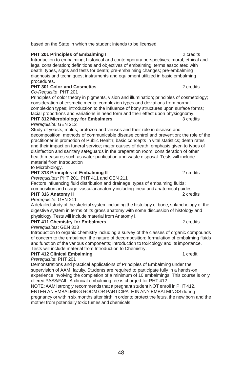based on the State in which the student intends to be licensed.

#### **PHT 201 Principles of Embalming I** 2 credits

Introduction to embalming; historical and contemporary perspectives; moral, ethical and legal consideration; definitions and objectives of embalming; terms associated with death; types, signs and tests for death; pre-embalming changes; pre-embalming diagnosis and techniques; instruments and equipment utilized in basic embalming procedures.

#### **PHT 301 Color and Cosmetics** 2 credits

*Co-Requisite*: PHT 201

Principles of color theory in pigments, vision and illumination; principles of cosmetology; consideration of cosmetic media; complexion types and deviations from normal complexion types; introduction to the influence of bony structures upon surface forms; facial proportions and variations in head form and their effect upon physiognomy. **PHT 312 Microbiology for Embalmers** 3 credits

### *Prerequisite:* GEN 212

Study of yeasts, molds, protozoa and viruses and their role in disease and decomposition; methods of communicable disease control and prevention; the role of the practitioner in promotion of Public Health; basic concepts in vital statistics; death rates and their impact on funeral service; major causes of death, emphasis given to types of disinfection and sanitary safeguards in the preparation room; consideration of other health measures such as water purification and waste disposal. Tests will include material from Introduction

to Microbiology.

#### **PHT 313 Principles of Embalming II** 2 credits

*Prerequisites:* PHT 201, PHT 411 and GEN 211

Factors influencing fluid distribution and drainage; types of embalming fluids; composition and usage; vascular anatomy including linear and anatomical guides. **PHT 316 Anatomy II CONSERVANT AND THE 2 credits** 

*Prerequisite*: GEN 211

A detailed study of the skeletal system including the histology of bone, splanchology of the digestive system in terms of its gross anatomy with some discussion of histology and physiology. Tests will include material from Anatomy I.

#### **PHT 411 Chemistry for Embalmers** 2 credits

#### *Prerequisites*: GEN 313

Introduction to organic chemistry including a survey of the classes of organic compounds of concern to the embalmer; the nature of decomposition; formulation of embalming fluids and function of the various components; introduction to toxicology and its importance. Tests will include material from Introduction to Chemistry.

#### **PHT 412 Clinical Embalming 1 credit 1 credit 1 credit**

*Prerequisite*: PHT 201

Demonstrations and practical applications of Principles of Embalming under the supervision of AAMI faculty. Students are required to participate fully in a hands-on experience involving the completion of a minimum of 10 embalmings. This course is only offered PASS/FAIL. A clinical embalming fee is charged for PHT 412.

NOTE:AAMI strongly recommends that a pregnant student NOT enroll in PHT 412, ENTER AN EMBALMING ROOM OR PARTICIPATEIN ANY EMBALMINGS during pregnancy or within six months after birth in order to protect the fetus, the new born and the mother from potentially toxic fumes and chemicals.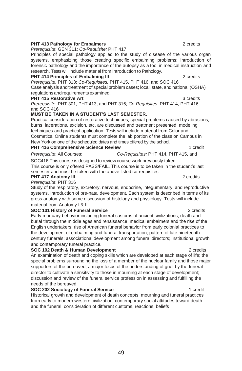#### **PHT 413 Pathology for Embalmers** 2 credits 2 credits

*Prerequisite*: GEN 311; *Co-Requisite:* PHT 417

Principles of special pathology applied to the study of disease of the various organ systems, emphasizing those creating specific embalming problems; introduction of forensic pathology and the importance of the autopsy as a tool in medical instruction and research. Testswill include material from Introduction to Pathology.

#### **PHT 414 Principles of Embalming III** 2 credits

*Prerequisite:* PHT 313; *Co-Requisites:* PHT 415, PHT 416, and SOC 416 Case analysis and treatment of special problem cases; local, state, and national (OSHA) regulations andrequirements examined.

#### **PHT 415 Restorative Art** 3 credits

*Prerequisite*: PHT 301, PHT 413, and PHT 316; *Co-Requisites:* PHT 414, PHT 416, and SOC 416

#### **MUST BE TAKEN IN A STUDENT'S LAST SEMESTER.**

Practical consideration of restorative techniques; special problems caused by abrasions, burns, lacerations, excision, etc. are discussed and treatment presented; modeling techniques and practical application. Tests will include material from Color and Cosmetics. Online students must complete the lab portion of the class on Campus in New York on one of the scheduled dates and times offered by the school.

#### **PHT 416 Comprehensive Science Review** 1 credit

*Prerequisite*: All Courses; *Co-Requisites:* PHT 414, PHT 415, and

SOC416 This course is designed to review course work previously taken. This course is only offered PASS/FAIL. This course is to be taken in the student's last semester and must be taken with the above listed co-requisites.

#### **PHT 417 Anatomy III** 2 credits

*Prerequisite*: PHT 316

Study of the respiratory, excretory, nervous, endocrine, integumentary, and reproductive systems. Introduction of pre-natal development. Each system is described in terms of its gross anatomy with some discussion of histology and physiology. Tests will include material from Anatomy I & II.

#### **SOC 101 History of Funeral Service** 2 credits

Early mortuary behavior including funeral customs of ancient civilizations; death and burial through the middle ages and renaissance; medical embalmers and the rise of the English undertakers; rise of American funeral behavior from early colonial practices to the development of embalming and funeral transportation; pattern of late nineteenth century funerals; associational development among funeral directors; institutional growth and contemporary funeral practice.

#### **SOC 102 Death & Human Development** 2 credits

An examination of death and coping skills which are developed at each stage of life; the special problems surrounding the loss of a member of the nuclear family and those major supporters of the bereaved; a major focus of the understanding of grief by the funeral director to cultivate a sensitivity to those in mourning at each stage of development; discussion and review of the funeral service profession in assessing and fulfilling the needs of the bereaved.

#### **SOC 202 Sociology of Funeral Service** 1 credit

Historical growth and development of death concepts, mourning and funeral practices from early to modern western civilization; contemporary social attitudes toward death and the funeral; consideration of different customs, reactions, beliefs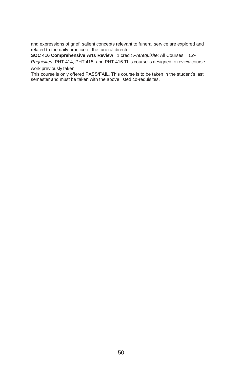and expressions of grief; salient concepts relevant to funeral service are explored and related to the daily practice of the funeral director.

**SOC 416 Comprehensive Arts Review** 1 credit *Prerequisite*: All Courses; *Co-Requisites:* PHT 414, PHT 415, and PHT 416 This course is designed to review course work previously taken.

<span id="page-53-0"></span>This course is only offered PASS/FAIL. This course is to be taken in the student's last semester and must be taken with the above listed co-requisites.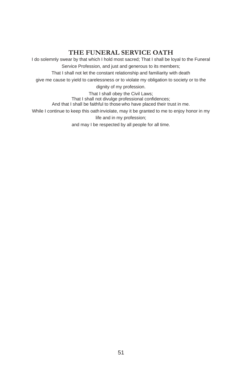### **THE FUNERAL SERVICE OATH**

I do solemnly swear by that which I hold most sacred; That I shall be loyal to the Funeral Service Profession, and just and generous to its members;

That I shall not let the constant relationship and familiarity with death

give me cause to yield to carelessness or to violate my obligation to society or to the

dignity of my profession.

That I shall obey the Civil Laws; That I shall not divulge professional confidences; And that I shall be faithful to those who have placed their trust in me. While I continue to keep this oath inviolate, may it be granted to me to enjoy honor in my life and in my profession;

and may I be respected by all people for all time.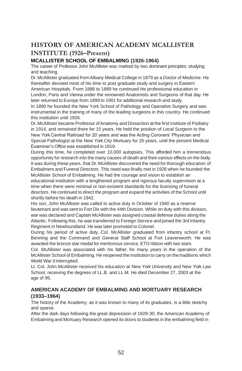### <span id="page-55-0"></span>**HISTORY OF AMERICAN ACADEMY MCALLISTER INSTITUTE (1926–Present)**

#### **MCALLISTER SCHOOL OF EMBALMING (1926-1964)**

The career of Professor John McAllister was marked by two dominant principles: studying and teaching.

Dr. McAllister graduated from Albany Medical College in 1879 as a Doctor of Medicine. He thereafter devoted most of his time to post graduate study and surgery in Eastern American Hospitals. From 1886 to 1889 he continued his professional education in London, Paris and Vienna under the renowned Anatomists and Surgeons of that day. He later returned to Europe from 1899 to 1901 for additional research and study.

In 1890 he founded the New York School of Pathology and Operative Surgery and was instrumental in the training of many of the leading surgeons in this country. He continued this institution until 1926.

Dr. McAllister became Professor of Anatomy and Dissection at the first Institute of Podiatry in 1914, and remained there for 15 years. He held the position of Local Surgeon to the New York Central Railroad for 20 years and was the Acting Coroners' Physician and Special Pathologist at the New York City Mortuary for 20 years, until the present Medical Examiner's Office was established in 1919.

During this time, he completed over 10,000 autopsies. This afforded him a tremendous opportunity for research into the many causes of death and their various effects on the body. It was during these years, that Dr. McAllister discovered the need for thorough education of Embalmers and Funeral Directors. This need was finally met in 1926 when he founded the McAllister School of Embalming. He had the courage and vision to establish an educational institution with a lengthened program and rigorous faculty supervision at a time when there were minimal or non-existent standards for the licensing of funeral directors. He continued to direct the program and expand the activities of the School until shortly before his death in 1942.

His son, John McAllister was called to active duty in October of 1940 as a reserve lieutenant and was sent to Fort Dix with the 44th Division. While on duty with this division, war was declared and Captain McAllister was assigned coastal defense duties along the Atlantic. Following this, he was transferred to Foreign Service and joined the 3rd Infantry Regiment in Newfoundland. He was later promoted to Colonel.

During his period of active duty, Col. McAllister graduated from infantry school at Ft. Benning and the Command and General Staff School at Fort Leavenworth. He was awarded the bronze star medal for meritorious service, ETO ribbon with two stars.

Col. McAllister was associated with his father, for many years in the operation of the McAllister School of Embalming. He reopened the institution to carry on the traditions which World War II interrupted.

Lt. Col. John McAllister received his education at New York University and New York Law School, receiving the degrees of LL.B. and LL.M. He died December 27, 2003 at the age of 95.

#### **AMERICAN ACADEMY OF EMBALMING AND MORTUARY RESEARCH (1933–1964)**

The history of the Academy, as it was known to many of its graduates, is a little sketchy and sparse.

After the dark days following the great depression of 1929-30, the American Academy of Embalming and Mortuary Research opened its doors to students in the embalming field in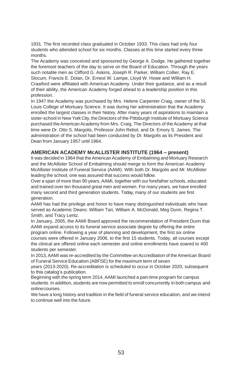1931. The first recorded class graduated in October 1933. This class had only four students who attended school for six months. Classes at this time started every three months.

The Academy was conceived and sponsored by George A. Dodge. He gathered together the foremost teachers of the day to serve on the Board of Education. Through the years such notable men as Clifford G. Askins, Joseph R. Parker, William Collier, Ray E. Slocum, Francis E. Dolan, Dr. Ernest W. Lampe, Lloyd W. Howe and William H. Crawford were affiliated with American Academy. Under their guidance, and as a result of their ability, the American Academy forged ahead to a leadership position in this profession.

In 1947 the Academy was purchased by Mrs. Helene Carpenter Craig, owner of the St. Louis College of Mortuary Science. It was during her administration that the Academy enrolled the largest classes in their history. After many years of aspirations to maintain a sister-school in New York City, the Directors of the Pittsburgh Institute of Mortuary Science purchased theAmerican Academy from Mrs. Craig. The Directors of the Academy at that time were Dr. Otto S. Margolis, Professor John Rebol, and Dr. Emory S. James. The administration of the school had been conducted by Dr. Margolis as its President and Dean from January 1957 until 1964.

#### **AMERICAN ACADEMY McALLISTER INSTITUTE (1964 – present)**

It was decided in 1964 that the American Academy of Embalming and Mortuary Research and the McAllister School of Embalming should merge to form the American Academy McAllister Institute of Funeral Service (AAMI). With both Dr. Margolis and Mr. McAllister leading the school, one was assured that success would follow.

Over a span of more than 90 years, AAMI, together with our forefather schools, educated and trained over ten thousand great men and women. For many years, we have enrolled many second and third generation students. Today, many of our students are first generation.

AAMI has had the privilege and honor to have many distinguished individuals who have served as Academic Deans: William Tari, William A. McDonald, Meg Dunn, Regina T. Smith, and Tracy Lentz.

In January, 2005, the AAMI Board approved the recommendation of President Dunn that AAMI expand access to its funeral service associate degree by offering the entire program online. Following a year of planning and development, the first six online courses were offered in January 2006, to the first 15 students. Today, all courses except the clinical are offered online each semester and online enrollments have soared to 400 students per semester.

In 2013, AAMI was re-accredited by the Committee on Accreditation of the American Board of Funeral Service Education (ABFSE) for the maximum term of seven

years (2013-2020). Re-accreditation is scheduled to occur in October 2020, subsequent to this catalog's publication.

Beginning with the spring term 2014, AAMI launched a part-time program for campus students. In addition, students are now permitted to enroll concurrently in both campus and onlinecourses.

We have a long history and tradition in the field of funeral service education, and we intend to continue well into the future.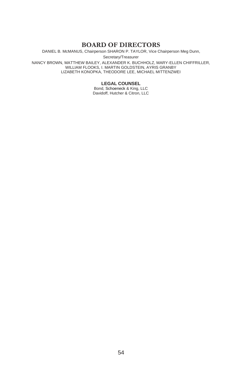### **BOARD OF DIRECTORS**

DANIEL B. McMANUS, Chairperson SHARON P. TAYLOR, Vice Chairperson Meg Dunn,

Secretary/Treasurer

NANCY BROWN, MATTHEW BAILEY, ALEXANDER K. BUCHHOLZ, MARY-ELLEN CHIFFRILLER, WILLIAM FLOOKS, I. MARTIN GOLDSTEIN, AYRIS GRANBY LIZABETH KONOPKA, THEODORE LEE, MICHAEL MITTENZWEI

**LEGAL COUNSEL**

Bond, Schoeneck & King, LLC Davidoff, Hutcher & Citron, LLC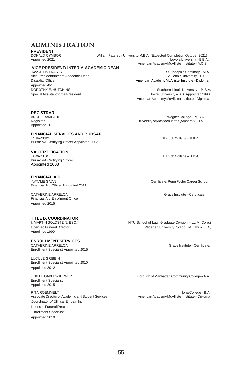### **ADMINISTRATION**

**PRESIDENT**

DONALD CYMBOR William Paterson University-M.B.A. (Expected Completion October 2021)

### **VICE PRESIDENT/ INTERIM ACADEMIC DEAN**

Vice President/Interim Academic Dean<br>Disability Officer Appointed2021

Appointed 2021 Loyola University –B.B.A. American Academy McAllister Institute - A.O.S.

> St. Joseph's Seminary – M.A.<br>St. John's University – B.S. American AcademyMcAllister Institute–Diploma

DOROTHY E. HUTCHINS<br>
Special Assistant to the President<br>
Special Assistant to the President<br>
Special Assistant to the President<br>
Special Assistant to the President<br>
Special Assistant to the President<br>
Special Assistant to Drexel University –B.S. Appointed 1990 American Academy McAllister Institute – Diploma

#### **REGISTRAR**

Appointed 2011

#### **FINANCIAL SERVICES AND BURSAR**

JAWAYTSO Baruch College – B.B.A. Bursar VA Certifying Officer Appointed 2003

**VA CERTIFICATION** Bursar VA Certifying Officer Appointed 2003

**FINANCIAL AID** Financial Aid Officer Appointed 2011

CATHERINE ARRELOA Grace Institute –Certificate. Financial Aid Enrollment Officer Appointed 2015

## **TITLE IX COORDINATOR**

Appointed 1999

### **ENROLLMENT SERVICES**

Enrollment Specialist Appointed 2015

LUCILLE GRIBBIN Enrollment Specialist Appointed 2010 Appointed 2012

Enrollment Specialist Appointed 2015

RITA ROEMMELT<br>Associate Director of Academic and Student Services **American Academy McAllister Institute** – Diploma Associate Director of Academic and Student Services Coordinator of Clinical Embalming LicensedFuneralDirector Enrollment Specialist Appointed 2019

ANDRE RAMPAUL WAGNER (MELL AND RESERVE FOR EXAMPAUL AND REGISTRATIVE TO A MAGNET ASSACT A MAGNET ASSACT A MAGNE<br>A University of Massachusetts (Amherst) – B.S. University of Massachusetts (Amherst) – B.S.

Baruch College – B.B.A.

Certificate, Penn Foster Career School

NYU School of Law, Graduate Division – LL.M.(Corp.) Licensed Funeral Director Widener University School of Law – J.D.,

Grace Institute – Certificate.

J'NIELE OAKLEY-TURNER Borough of Manhattan Community College –A.A.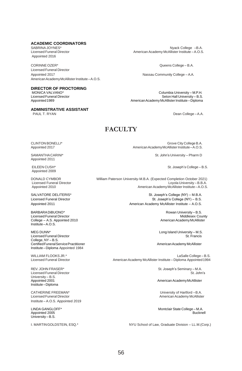### **ACADEMIC COORDINATORS**<br>SABRINA JOYNES\*

Appointed 2016

CORINNE OZER\* Queens College – B.A. Licensed Funeral Director American Academy McAllister Institute - A.O.S.

# **DIRECTOR OF PROCTORING**<br>MONICA VALVANO\*

### **ADMINISTRATIVE ASSISTANT**<br>PAUL T. RYAN

SABRINA JOYNES\* Nyack College –B.A.<br>2.O.S American Academy McAllister Institute – A.O.S ו-American Academy McAllister Institute – A.O.S American Academy McAllister Institute – A.O.S.

Nassau Community College – A.A.

MONICA VALVANO\* Columbia University – M.P.H. Licensed Funeral Director **Christian Community – B.C.**<br>American Academy McAllister Institute – Diploma<br>American Academy McAllister Institute – Diploma American Academy McAllister Institute – Diploma

Dean College – A.A.

#### **FACULTY**

Appointed 2011

Appointed 2009

Licensed Funeral Director<br>Appointed 2010

BARBARADiBUONO\* Rowan University – B.S. Licensed Funeral Director (Alternation 1999) and the University of Middlesex County of Middlesex County of Col<br>College – A.S. Appointed 2010 (Alternation 2010) and the Middlesex County of American Academy McAllister  $College - A.S.$  Appointed 2010 Institute–A.O.S.

MEG DUNN\* Long Island University – M.S.<br>Licensed Funeral Director de Campion and the Congress of the Congress of St. Francis Licensed Funeral Director College, NY – B.S. Certified Funeral Service Practitioner American Academy McAllister American Academy McAllister Institute –Diploma Appointed 1984

University – B.S.<br>Appointed 2001 Institute–Diploma

CATHERINE FREEMAN\* University of Hartford –B.A. Institute – A.O.S. Appointed 2019

Appointed 2005 University –B.S.

CLINTON BONELLI\* Grove City College B.A.<br>Appointed 2017 College B.A. Appointed 2017 American Academy McAllister Institute–A.O.S.

SAMANTHACARINI\* St. John's University – Pharm D

EILEEN CUSH\* St. Joseph's College – B.S.

DONALD CYMBOR William Paterson University-M.B.A. (Expected Completion October 2021) American Academy McAllister Institute – A.O.S.

SALVATORE DELITERIS\* St. Joseph's College (NY) – M.B.A. Licensed Funeral Director **St. Joseph's College (NY) – B.S.** St. Joseph's College (NY) – B.S. Appointed 2011 **American Academy McAllister Institute – A.O.S.** American Academy McAllister Institute – A.O.S.

WILLIAM FLOOKS JR.\*<br>Licensed Funeral Director Connel of the Salle College – B.S.<br>American Academy McAllister Institute – Diploma Appointed 1994 American Academy McAllister Institute – Diploma Appointed 1994

REV. JOHN FRASER\* St. Joseph's Seminary – M.A. Licensed Funeral Director St. John's

American Academy McAllister

American Academy McAllister

LINDA GANGLOFF\* 
Montclair State College – M.A.<br>
Appointed 2005

I. MARTINGOLDSTEIN, ESQ.\* NYU School of Law, Graduate Division – LL.M.(Corp.)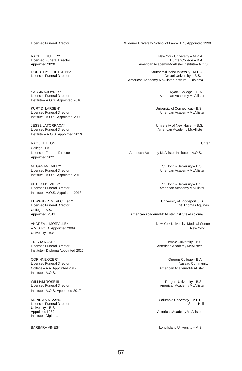Licensed Funeral Director<br>Appointed 2020

SABRINA JOYNES\* Notes and the set of the set of the set of the set of the SARINA SABRINA IOSOS SABRINA SAGES O<br>American Academy McAlliste (Academy McAlliste ) Institute –A.O.S. Appointed 2016

KURT D. LARSEN\* University of Connecticut – B.S. Institute –A.O.S. Appointed 2009

JESSE LATORRACA\* University of New Haven –B.S. Licensed Funeral Director **American Academy McAllister** American Academy McAllister Institute – A.O.S. Appointed 2019

RAQUEL LEON **Hunter** College-B.A.<br>Licensed Funeral Director Appointed 2021

MEGAN McEVILLY\* St. John's University – B.S. Licensed Funeral Director **American Academy McAllister** American Academy McAllister Institute –A.O.S. Appointed 2018

PETER McEVILLY\* St. John's University – B.S.<br>Cicensed Funeral Director Controllers (St. John St. John's University – B.S. John's University – B.S. John's U Institute –A.O.S. Appointed 2013

Licensed Funeral Director College –B.S.

University –B.S.

TRISHA NASH<sup>\*</sup> Temple University –B.S.<br>Licensed Funeral Director **Temple University – S.** American Academy McAllister Institute – Diploma Appointed 2016

Licensed Funeral Director Nassau Community of the Secret of American Academy Massau Community College<br>College – A.A. Appointed 2017 College – A.A. Appointed 2017 Institute –A.O.S.

WILLIAM ROSE III RUTGERS IN A SERVERSITY – B.S. Elicensed Funeral Director<br>American Academy McAlliste Institute –A.O.S. Appointed 2017

Licensed Funeral Director University – B.S.<br>Appointed 1989 Institute –Diploma

Licensed Funeral Director Widener University School of Law – J.D., Appointed 1999

RACHEL GULLEY\* **New York University – M.P.A.**<br>Licensed Funeral Director **New York University – M.P.A.** American Academy McAllister Institute – A.O.S.

DOROTHY E. HUTCHlNS\* Southern Illinois University – M.B.A. Drexel University – B.S. American Academy McAllister Institute – Diploma

American Academy McAllister

American Academy McAllister

American Academy McAllister Institute – A.O.S.

American Academy McAllister

EDWARD R. MEVEC, Esq.\* University of Bridgeport, J.D.

Appointed 2011 **American Academy McAllister Institute – Diploma** 

ANDREAL. MORVILLE\* New York University, Medical Center – M.S. Ph.D. Appointed 2009 New York

American Academy McAllister

CORINNE OZER\* Queens College – B.A.

American Academy McAllister

MONICA VALVANO\* Columbia University – M.P.H.

American Academy McAllister

BARBARAVINES\* Long Island University – M.S.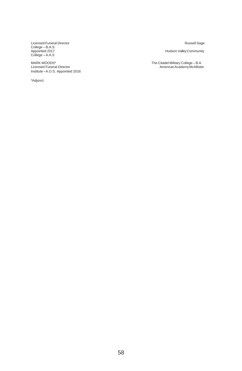Licensed Funeral Director Russell Sage College – B.A.S. College –A.A.S

.<br>MARK WOODS\* Infinity woodbo<br>
Licensed Funeral Director<br>
Institute – A.O.S. Appointed 2016

\*Adjunct

Hudson Valley Community

MARK WOODS\* The Citadel Military College – B.A. Licensed Funeral Director AmericanAcademyMcAllister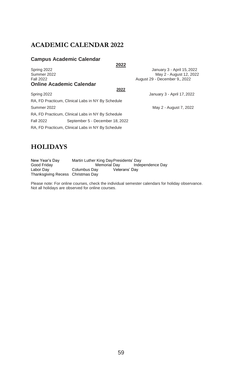### **ACADEMIC CALENDAR 2022**

#### **Campus Academic Calendar**

| Spring 2022      |                                                   | January 3 - April 15, 2022    |
|------------------|---------------------------------------------------|-------------------------------|
| Summer 2022      |                                                   | May 2 - August 12, 2022       |
| <b>Fall 2022</b> |                                                   | August 29 - December 9., 2022 |
|                  | <b>Online Academic Calendar</b>                   |                               |
|                  | 2022                                              |                               |
| Spring 2022      |                                                   | January 3 - April 17, 2022    |
|                  | RA, FD Practicum, Clinical Labs in NY By Schedule |                               |
| Summer 2022      |                                                   | May 2 - August 7, 2022        |
|                  | RA, FD Practicum, Clinical Labs in NY By Schedule |                               |
| Fall 2022        | September 5 - December 18, 2022                   |                               |
|                  | RA, FD Practicum, Clinical Labs in NY By Schedule |                               |
|                  |                                                   |                               |
|                  |                                                   |                               |

### **HOLIDAYS**

| New Year's Day                    | Martin Luther King Day Presidents' Day |               |                  |  |
|-----------------------------------|----------------------------------------|---------------|------------------|--|
| Good Friday                       | Memorial Dav                           |               | Independence Day |  |
| Labor Dav                         | Columbus Dav                           | Veterans' Day |                  |  |
| Thanksgiving Recess Christmas Day |                                        |               |                  |  |

Please note: For online courses, check the individual semester calendars for holiday observance. Not all holidays are observed for online courses.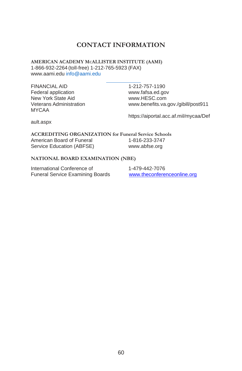### **CONTACT INFORMATION**

**AMERICAN ACADEMY MCALLISTER INSTITUTE (AAMI)** 1-866-932-2264 (toll-free) 1-212-765-5923 (FAX) [www.aami.edu](http://www.aami.edu/) [info@aami.edu](mailto:info@aami.edu)

FINANCIAL AID 1-212-757-1190 Federal application [www.fafsa.ed.gov](http://www.fafsa.ed.gov/) New York State Aid<br>Veterans Administration<br>Www.benefits.va MYCAA

[www.benefits.va.gov./gibill/post911](http://www.benefits.va.gov./gibill/post911)

https://aiportal.acc.af.mil/mycaa/Def

ault.aspx

**ACCREDITING ORGANIZATION for Funeral Service Schools** American Board of Funeral 1-816-233-3747 Service Education (ABFSE) [www.abfse.org](http://www.abfse.org/)

#### **NATIONAL BOARD EXAMINATION (NBE)**

International Conference of 1-479-442-7076 Funeral Service Examining Boards [www.theconferenceonline.org](http://www.theconferenceonline.org/)